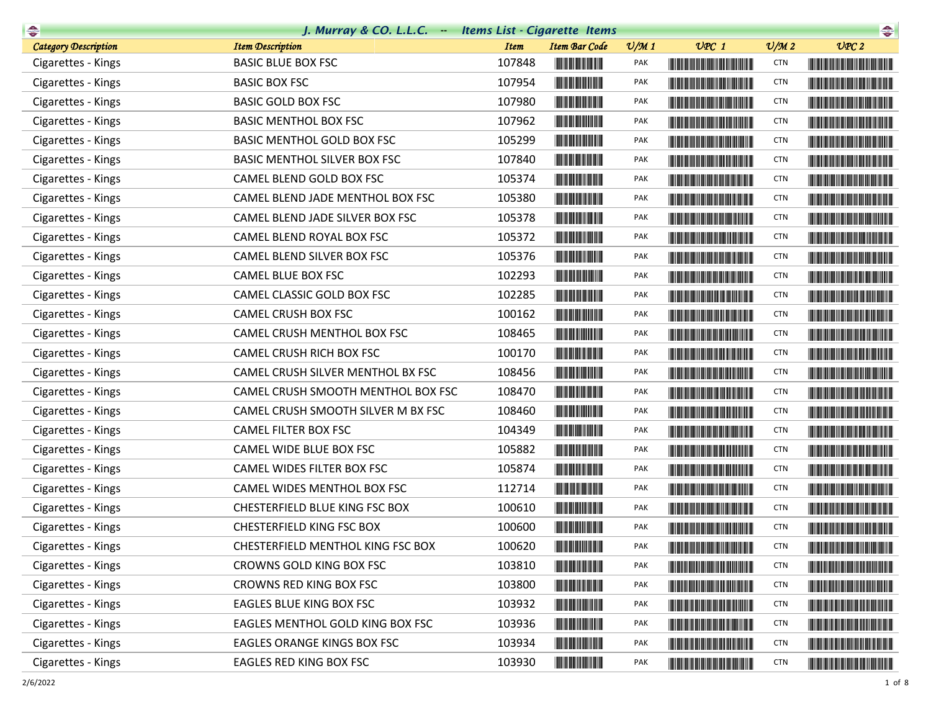| $\rightarrow$               | J. Murray & CO. L.L.C. Items List - Cigarette Items |             |                                                                                                                       |                 |                                                                                                                                                                                                                                      |                             |                                                                                                                                                                                                                                      |
|-----------------------------|-----------------------------------------------------|-------------|-----------------------------------------------------------------------------------------------------------------------|-----------------|--------------------------------------------------------------------------------------------------------------------------------------------------------------------------------------------------------------------------------------|-----------------------------|--------------------------------------------------------------------------------------------------------------------------------------------------------------------------------------------------------------------------------------|
| <b>Category Description</b> | <b>Item Description</b>                             | <b>Item</b> | <b>Item Bar Code</b>                                                                                                  | $\frac{v}{M}$ 1 | $UPC$ 1                                                                                                                                                                                                                              | $\mathcal{O}/\mathcal{M}$ 2 | UPC2                                                                                                                                                                                                                                 |
| Cigarettes - Kings          | <b>BASIC BLUE BOX FSC</b>                           | 107848      |                                                                                                                       | PAK             | <b>The Committee of the Committee of the Committee</b>                                                                                                                                                                               | <b>CTN</b>                  | <u> Harry Harry Harry Harry Harry Harry Harry Harry Harry Harry Harry Harry Harry Harry Harry Harry Harry Harry Harry Harry Harry Harry Harry Harry Harry Harry Harry Harry Harry Harry Harry Harry Harry Harry Harry Harry Harr</u> |
| Cigarettes - Kings          | <b>BASIC BOX FSC</b>                                | 107954      | <u> Herbert Herbert in der Erste der Erste der Erste der Erste der Erste der Erste der Erste der Erste der Erste </u> | PAK             | <u> Liberal Maria de la contra</u>                                                                                                                                                                                                   | <b>CTN</b>                  | <u> Timber de la provincia de la provincia de la provincia de la provincia de la provincia de la provincia de la </u>                                                                                                                |
| Cigarettes - Kings          | <b>BASIC GOLD BOX FSC</b>                           | 107980      |                                                                                                                       | PAK             | <b>The Common Service Common Service</b>                                                                                                                                                                                             | <b>CTN</b>                  |                                                                                                                                                                                                                                      |
| Cigarettes - Kings          | <b>BASIC MENTHOL BOX FSC</b>                        | 107962      | <b>The Committee of the Committee of the Committee</b>                                                                | <b>PAK</b>      | <b>The Common Service Common</b>                                                                                                                                                                                                     | <b>CTN</b>                  | <u> Harry Harry Harry Harry Harry Harry Harry Harry Harry Harry Harry Harry Harry Harry Harry Harry Harry Harry Harry Harry Harry Harry Harry Harry Harry Harry Harry Harry Harry Harry Harry Harry Harry Harry Harry Harry Harr</u> |
| Cigarettes - Kings          | BASIC MENTHOL GOLD BOX FSC                          | 105299      | <b>The Committee of the Committee of the Committee</b>                                                                | <b>PAK</b>      | <b>CONTRACTOR</b>                                                                                                                                                                                                                    | <b>CTN</b>                  |                                                                                                                                                                                                                                      |
| Cigarettes - Kings          | BASIC MENTHOL SILVER BOX FSC                        | 107840      | <u> Herbert Herbert in der Erste </u>                                                                                 | PAK             |                                                                                                                                                                                                                                      | <b>CTN</b>                  |                                                                                                                                                                                                                                      |
| Cigarettes - Kings          | CAMEL BLEND GOLD BOX FSC                            | 105374      | <b>The Committee of the Committee</b>                                                                                 | PAK             |                                                                                                                                                                                                                                      | <b>CTN</b>                  |                                                                                                                                                                                                                                      |
| Cigarettes - Kings          | CAMEL BLEND JADE MENTHOL BOX FSC                    | 105380      |                                                                                                                       | PAK             |                                                                                                                                                                                                                                      | <b>CTN</b>                  |                                                                                                                                                                                                                                      |
| Cigarettes - Kings          | CAMEL BLEND JADE SILVER BOX FSC                     | 105378      | <b>The Committee of the Committee of the Committee</b>                                                                | PAK             |                                                                                                                                                                                                                                      | <b>CTN</b>                  |                                                                                                                                                                                                                                      |
| Cigarettes - Kings          | CAMEL BLEND ROYAL BOX FSC                           | 105372      |                                                                                                                       | <b>PAK</b>      |                                                                                                                                                                                                                                      | <b>CTN</b>                  |                                                                                                                                                                                                                                      |
| Cigarettes - Kings          | CAMEL BLEND SILVER BOX FSC                          | 105376      |                                                                                                                       | <b>PAK</b>      |                                                                                                                                                                                                                                      | <b>CTN</b>                  |                                                                                                                                                                                                                                      |
| Cigarettes - Kings          | CAMEL BLUE BOX FSC                                  | 102293      |                                                                                                                       | PAK             |                                                                                                                                                                                                                                      | <b>CTN</b>                  |                                                                                                                                                                                                                                      |
| Cigarettes - Kings          | CAMEL CLASSIC GOLD BOX FSC                          | 102285      | <u> Herbert Herbert in der Erste </u>                                                                                 | <b>PAK</b>      |                                                                                                                                                                                                                                      | <b>CTN</b>                  |                                                                                                                                                                                                                                      |
| Cigarettes - Kings          | CAMEL CRUSH BOX FSC                                 | 100162      |                                                                                                                       | PAK             | <u> The Community of the Community of the Community of the Community of the Community of the Community of the Community of the Community of the Community of the Community of the Community of the Community of the Community of</u> | <b>CTN</b>                  |                                                                                                                                                                                                                                      |
| Cigarettes - Kings          | CAMEL CRUSH MENTHOL BOX FSC                         | 108465      |                                                                                                                       | PAK             |                                                                                                                                                                                                                                      | <b>CTN</b>                  |                                                                                                                                                                                                                                      |
| Cigarettes - Kings          | <b>CAMEL CRUSH RICH BOX FSC</b>                     | 100170      |                                                                                                                       | PAK             |                                                                                                                                                                                                                                      | <b>CTN</b>                  |                                                                                                                                                                                                                                      |
| Cigarettes - Kings          | CAMEL CRUSH SILVER MENTHOL BX FSC                   | 108456      | <u> Herbert Herbert in der Erste der Erste der Erste der Erste der Erste der Erste der Erste der Erste der Erste </u> | PAK             |                                                                                                                                                                                                                                      | <b>CTN</b>                  |                                                                                                                                                                                                                                      |
| Cigarettes - Kings          | CAMEL CRUSH SMOOTH MENTHOL BOX FSC                  | 108470      |                                                                                                                       | PAK             |                                                                                                                                                                                                                                      | <b>CTN</b>                  |                                                                                                                                                                                                                                      |
| Cigarettes - Kings          | CAMEL CRUSH SMOOTH SILVER M BX FSC                  | 108460      |                                                                                                                       | PAK             |                                                                                                                                                                                                                                      | <b>CTN</b>                  |                                                                                                                                                                                                                                      |
| Cigarettes - Kings          | CAMEL FILTER BOX FSC                                | 104349      |                                                                                                                       | PAK             | <b>The Committee of the Committee of the Committee</b>                                                                                                                                                                               | <b>CTN</b>                  |                                                                                                                                                                                                                                      |
| Cigarettes - Kings          | CAMEL WIDE BLUE BOX FSC                             | 105882      | <u> Herbert Herbert in der Entschaft</u>                                                                              | <b>PAK</b>      | <u> Liberal Maria San Barat da Ba</u>                                                                                                                                                                                                | <b>CTN</b>                  | <u> Linda ka masa sa kasang mga kalendari ng mga katalog ng mga kalendari ng mga kalendari ng mga kalendari ng mga kalendari ng mga kalendari ng mga kalendari ng mga kalendari ng mga kalendari ng mga kalendari ng mga kalenda</u> |
| Cigarettes - Kings          | CAMEL WIDES FILTER BOX FSC                          | 105874      |                                                                                                                       | PAK             |                                                                                                                                                                                                                                      | <b>CTN</b>                  |                                                                                                                                                                                                                                      |
| Cigarettes - Kings          | CAMEL WIDES MENTHOL BOX FSC                         | 112714      |                                                                                                                       | PAK             | <b>The Common Section</b>                                                                                                                                                                                                            | <b>CTN</b>                  |                                                                                                                                                                                                                                      |
| Cigarettes - Kings          | CHESTERFIELD BLUE KING FSC BOX                      | 100610      |                                                                                                                       | <b>PAK</b>      |                                                                                                                                                                                                                                      | <b>CTN</b>                  |                                                                                                                                                                                                                                      |
| Cigarettes - Kings          | CHESTERFIELD KING FSC BOX                           | 100600      |                                                                                                                       | PAK             | <b>The Common Service Common Service</b>                                                                                                                                                                                             | <b>CTN</b>                  |                                                                                                                                                                                                                                      |
| Cigarettes - Kings          | CHESTERFIELD MENTHOL KING FSC BOX                   | 100620      |                                                                                                                       | PAK             |                                                                                                                                                                                                                                      | <b>CTN</b>                  |                                                                                                                                                                                                                                      |
| Cigarettes - Kings          | CROWNS GOLD KING BOX FSC                            | 103810      |                                                                                                                       | PAK             | <u> The Community of the Community of the Community of the Community of the Community of the Community of the Community of the Community of the Community of the Community of the Community of the Community of the Community of</u> | <b>CTN</b>                  |                                                                                                                                                                                                                                      |
| Cigarettes - Kings          | CROWNS RED KING BOX FSC                             | 103800      |                                                                                                                       | PAK             |                                                                                                                                                                                                                                      | <b>CTN</b>                  |                                                                                                                                                                                                                                      |
| Cigarettes - Kings          | EAGLES BLUE KING BOX FSC                            | 103932      | <u> III de la provincia del c</u>                                                                                     | PAK             | <u> Liberal Maria de la contrada de la con</u>                                                                                                                                                                                       | <b>CTN</b>                  |                                                                                                                                                                                                                                      |
| Cigarettes - Kings          | EAGLES MENTHOL GOLD KING BOX FSC                    | 103936      |                                                                                                                       | PAK             |                                                                                                                                                                                                                                      | <b>CTN</b>                  | <u> Harry Harry Harry Harry Harry Harry Harry Harry Harry Harry Harry Harry Harry Harry Harry Harry Harry Harry Harry Harry Harry Harry Harry Harry Harry Harry Harry Harry Harry Harry Harry Harry Harry Harry Harry Harry Harr</u> |
| Cigarettes - Kings          | EAGLES ORANGE KINGS BOX FSC                         | 103934      | <u> Herbert Herbert in der Entschaft</u>                                                                              | PAK             | <u> Liberal Maria Maria Alemania de la pro</u>                                                                                                                                                                                       | <b>CTN</b>                  |                                                                                                                                                                                                                                      |
| Cigarettes - Kings          | EAGLES RED KING BOX FSC                             | 103930      | <u> Herbert Herbert in der Entschaft</u>                                                                              | PAK             |                                                                                                                                                                                                                                      | <b>CTN</b>                  |                                                                                                                                                                                                                                      |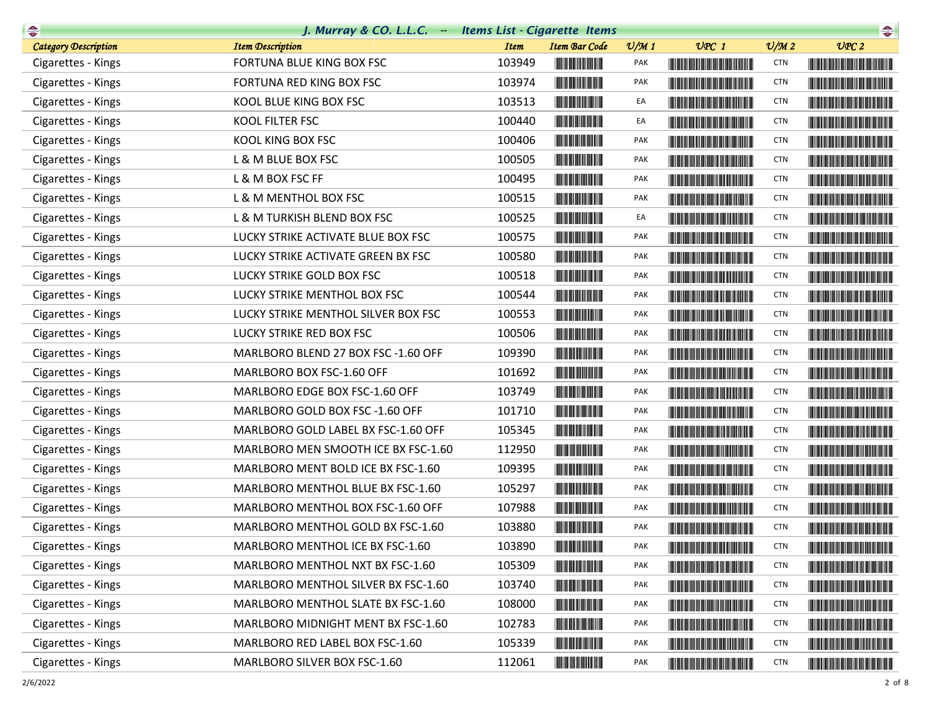| $\rightarrow$               | J. Murray & CO. L.L.C. Items List - Cigarette Items |             |                                                                                                                       |                 |                                                                                                                                                                                                                                      |                 | $\begin{picture}(20,10) \put(0,0){\line(1,0){10}} \put(10,0){\line(1,0){10}} \put(10,0){\line(1,0){10}} \put(10,0){\line(1,0){10}} \put(10,0){\line(1,0){10}} \put(10,0){\line(1,0){10}} \put(10,0){\line(1,0){10}} \put(10,0){\line(1,0){10}} \put(10,0){\line(1,0){10}} \put(10,0){\line(1,0){10}} \put(10,0){\line(1,0){10}} \put(10,0){\line(1$ |
|-----------------------------|-----------------------------------------------------|-------------|-----------------------------------------------------------------------------------------------------------------------|-----------------|--------------------------------------------------------------------------------------------------------------------------------------------------------------------------------------------------------------------------------------|-----------------|-----------------------------------------------------------------------------------------------------------------------------------------------------------------------------------------------------------------------------------------------------------------------------------------------------------------------------------------------------|
| <b>Category Description</b> | <b>Item Description</b>                             | <b>Item</b> | <b>Item Bar Code</b>                                                                                                  | $\frac{v}{M}$ 1 | $UPC$ 1                                                                                                                                                                                                                              | $\frac{v}{M}$ 2 | UPC2                                                                                                                                                                                                                                                                                                                                                |
| Cigarettes - Kings          | FORTUNA BLUE KING BOX FSC                           | 103949      |                                                                                                                       | <b>PAK</b>      | <b>The Common Section</b>                                                                                                                                                                                                            | <b>CTN</b>      |                                                                                                                                                                                                                                                                                                                                                     |
| Cigarettes - Kings          | FORTUNA RED KING BOX FSC                            | 103974      | <u> Herbert Herbert in der Entschaft</u>                                                                              | PAK             |                                                                                                                                                                                                                                      | <b>CTN</b>      |                                                                                                                                                                                                                                                                                                                                                     |
| Cigarettes - Kings          | KOOL BLUE KING BOX FSC                              | 103513      |                                                                                                                       | EA              |                                                                                                                                                                                                                                      | <b>CTN</b>      |                                                                                                                                                                                                                                                                                                                                                     |
| Cigarettes - Kings          | KOOL FILTER FSC                                     | 100440      | <u> Herbert Herbert i Sta</u>                                                                                         | EA              | <b>The Committee of the Committee of the Committee</b>                                                                                                                                                                               | <b>CTN</b>      |                                                                                                                                                                                                                                                                                                                                                     |
| Cigarettes - Kings          | KOOL KING BOX FSC                                   | 100406      | <b>The Committee of the Committee of the Committee</b>                                                                | <b>PAK</b>      |                                                                                                                                                                                                                                      | <b>CTN</b>      |                                                                                                                                                                                                                                                                                                                                                     |
| Cigarettes - Kings          | L & M BLUE BOX FSC                                  | 100505      |                                                                                                                       | PAK             | <u> The Community of the Community of the Community of the Community of the Community of the Community of the Community of the Community of the Community of the Community of the Community of the Community of the Community of</u> | <b>CTN</b>      | <u> Harry Harry Harry Harry Harry Harry Harry Harry Harry Harry Harry Harry Harry Harry Harry Harry Harry Harry Harry Harry Harry Harry Harry Harry Harry Harry Harry Harry Harry Harry Harry Harry Harry Harry Harry Harry Harr</u>                                                                                                                |
| Cigarettes - Kings          | L & M BOX FSC FF                                    | 100495      |                                                                                                                       | PAK             | <u> Harry Harry Harry Harry Harry Harry Harry Harry Harry Harry Harry Harry Harry Harry Harry Harry Harry Harry Harry Harry Harry Harry Harry Harry Harry Harry Harry Harry Harry Harry Harry Harry Harry Harry Harry Harry Harr</u> | <b>CTN</b>      |                                                                                                                                                                                                                                                                                                                                                     |
| Cigarettes - Kings          | L & M MENTHOL BOX FSC                               | 100515      |                                                                                                                       | PAK             | <b>The Common Section</b>                                                                                                                                                                                                            | <b>CTN</b>      |                                                                                                                                                                                                                                                                                                                                                     |
| Cigarettes - Kings          | L & M TURKISH BLEND BOX FSC                         | 100525      |                                                                                                                       | EA              | <u> Harry Harry Harry Harry Harry Harry Harry Harry Harry Harry Harry Harry Harry Harry Harry Harry Harry Harry Harry Harry Harry Harry Harry Harry Harry Harry Harry Harry Harry Harry Harry Harry Harry Harry Harry Harry Harr</u> | <b>CTN</b>      |                                                                                                                                                                                                                                                                                                                                                     |
| Cigarettes - Kings          | LUCKY STRIKE ACTIVATE BLUE BOX FSC                  | 100575      |                                                                                                                       | <b>PAK</b>      |                                                                                                                                                                                                                                      | <b>CTN</b>      |                                                                                                                                                                                                                                                                                                                                                     |
| Cigarettes - Kings          | LUCKY STRIKE ACTIVATE GREEN BX FSC                  | 100580      |                                                                                                                       | PAK             |                                                                                                                                                                                                                                      | <b>CTN</b>      | <b>The Community of the Community</b>                                                                                                                                                                                                                                                                                                               |
| Cigarettes - Kings          | LUCKY STRIKE GOLD BOX FSC                           | 100518      |                                                                                                                       | PAK             | <u> Liberal Maria Maria Maria Maria Maria Maria Maria Maria Maria Maria Maria Maria Maria Maria Maria Maria Maria </u>                                                                                                               | <b>CTN</b>      |                                                                                                                                                                                                                                                                                                                                                     |
| Cigarettes - Kings          | LUCKY STRIKE MENTHOL BOX FSC                        | 100544      |                                                                                                                       | <b>PAK</b>      |                                                                                                                                                                                                                                      | <b>CTN</b>      |                                                                                                                                                                                                                                                                                                                                                     |
| Cigarettes - Kings          | LUCKY STRIKE MENTHOL SILVER BOX FSC                 | 100553      |                                                                                                                       | <b>PAK</b>      |                                                                                                                                                                                                                                      | <b>CTN</b>      |                                                                                                                                                                                                                                                                                                                                                     |
| Cigarettes - Kings          | LUCKY STRIKE RED BOX FSC                            | 100506      |                                                                                                                       | PAK             |                                                                                                                                                                                                                                      | <b>CTN</b>      |                                                                                                                                                                                                                                                                                                                                                     |
| Cigarettes - Kings          | MARLBORO BLEND 27 BOX FSC -1.60 OFF                 | 109390      |                                                                                                                       | PAK             |                                                                                                                                                                                                                                      | <b>CTN</b>      |                                                                                                                                                                                                                                                                                                                                                     |
| Cigarettes - Kings          | MARLBORO BOX FSC-1.60 OFF                           | 101692      | <b>The Committee of the Committee of the Committee</b>                                                                | PAK             | <b>The Committee of the Committee of the Committee</b>                                                                                                                                                                               | <b>CTN</b>      |                                                                                                                                                                                                                                                                                                                                                     |
| Cigarettes - Kings          | MARLBORO EDGE BOX FSC-1.60 OFF                      | 103749      |                                                                                                                       | PAK             |                                                                                                                                                                                                                                      | <b>CTN</b>      |                                                                                                                                                                                                                                                                                                                                                     |
| Cigarettes - Kings          | MARLBORO GOLD BOX FSC -1.60 OFF                     | 101710      |                                                                                                                       | PAK             | <b>The Committee of the Committee of the Committee</b>                                                                                                                                                                               | <b>CTN</b>      |                                                                                                                                                                                                                                                                                                                                                     |
| Cigarettes - Kings          | MARLBORO GOLD LABEL BX FSC-1.60 OFF                 | 105345      |                                                                                                                       | PAK             | <u> Liberal Maria Maria Maria Maria Maria Maria Maria Maria Maria Maria Maria Maria Maria Maria Maria Maria Maria </u>                                                                                                               | <b>CTN</b>      |                                                                                                                                                                                                                                                                                                                                                     |
| Cigarettes - Kings          | MARLBORO MEN SMOOTH ICE BX FSC-1.60                 | 112950      | <b>The Committee of the Committee of the Committee</b>                                                                | PAK             |                                                                                                                                                                                                                                      | <b>CTN</b>      |                                                                                                                                                                                                                                                                                                                                                     |
| Cigarettes - Kings          | MARLBORO MENT BOLD ICE BX FSC-1.60                  | 109395      |                                                                                                                       | PAK             | <u> Harry Harry Harry Harry Harry Harry Harry Harry Harry Harry Harry Harry Harry Harry Harry Harry Harry Harry Harry Harry Harry Harry Harry Harry Harry Harry Harry Harry Harry Harry Harry Harry Harry Harry Harry Harry Harr</u> | <b>CTN</b>      |                                                                                                                                                                                                                                                                                                                                                     |
| Cigarettes - Kings          | MARLBORO MENTHOL BLUE BX FSC-1.60                   | 105297      |                                                                                                                       | <b>PAK</b>      | <u> Liberal Maria de la contrada de la contrada de la contrada de la contrada de la contrada de la con</u>                                                                                                                           | <b>CTN</b>      |                                                                                                                                                                                                                                                                                                                                                     |
| Cigarettes - Kings          | MARLBORO MENTHOL BOX FSC-1.60 OFF                   | 107988      |                                                                                                                       | PAK             | <b>CONTRACTOR</b>                                                                                                                                                                                                                    | <b>CTN</b>      |                                                                                                                                                                                                                                                                                                                                                     |
| Cigarettes - Kings          | MARLBORO MENTHOL GOLD BX FSC-1.60                   | 103880      | <u> Indian American Indian Indian Indian Indian Indian Indian Indian Indian Indian Indian Indian Indian Indian In</u> | PAK             | <b>The Common Section</b>                                                                                                                                                                                                            | <b>CTN</b>      |                                                                                                                                                                                                                                                                                                                                                     |
| Cigarettes - Kings          | MARLBORO MENTHOL ICE BX FSC-1.60                    | 103890      | <b>THE REAL PROPERTY</b>                                                                                              | PAK             |                                                                                                                                                                                                                                      | <b>CTN</b>      |                                                                                                                                                                                                                                                                                                                                                     |
| Cigarettes - Kings          | MARLBORO MENTHOL NXT BX FSC-1.60                    | 105309      | <u> Indian American Indian Indian Indian Indian Indian Indian Indian Indian Indian Indian Indian Indian Indian In</u> | PAK             | <u> Liberal Maria de la contrada de la con</u>                                                                                                                                                                                       | <b>CTN</b>      |                                                                                                                                                                                                                                                                                                                                                     |
| Cigarettes - Kings          | MARLBORO MENTHOL SILVER BX FSC-1.60                 | 103740      | <b>The Committee of the Committee</b>                                                                                 | PAK             |                                                                                                                                                                                                                                      | <b>CTN</b>      | <u> Harry Harry Harry Harry Harry Harry Harry Harry Harry Harry Harry Harry Harry Harry Harry Harry Harry Harry Harry Harry Harry Harry Harry Harry Harry Harry Harry Harry Harry Harry Harry Harry Harry Harry Harry Harry Harr</u>                                                                                                                |
| Cigarettes - Kings          | MARLBORO MENTHOL SLATE BX FSC-1.60                  | 108000      | <u> Herbert Herbert in der Erste </u>                                                                                 | PAK             | <u> Harry Harry Harry Harry Harry Harry Harry Harry Harry Harry Harry Harry Harry Harry Harry Harry Harry Harry Harry Harry Harry Harry Harry Harry Harry Harry Harry Harry Harry Harry Harry Harry Harry Harry Harry Harry Harr</u> | <b>CTN</b>      |                                                                                                                                                                                                                                                                                                                                                     |
| Cigarettes - Kings          | MARLBORO MIDNIGHT MENT BX FSC-1.60                  | 102783      | <u> Herbert Herbert in der Erste der Erste </u>                                                                       | PAK             | <u> Liberal Maria de la contrada de la con</u>                                                                                                                                                                                       | <b>CTN</b>      |                                                                                                                                                                                                                                                                                                                                                     |
| Cigarettes - Kings          | MARLBORO RED LABEL BOX FSC-1.60                     | 105339      |                                                                                                                       | PAK             | <u> Die Berger von Die Berger von Die Berger von Die Berger von Die Berger von Die Berger von Die Berger von Die B</u>                                                                                                               | <b>CTN</b>      |                                                                                                                                                                                                                                                                                                                                                     |
| Cigarettes - Kings          | MARLBORO SILVER BOX FSC-1.60                        | 112061      | <u> III din ka masa sa ka</u>                                                                                         | PAK             |                                                                                                                                                                                                                                      | <b>CTN</b>      |                                                                                                                                                                                                                                                                                                                                                     |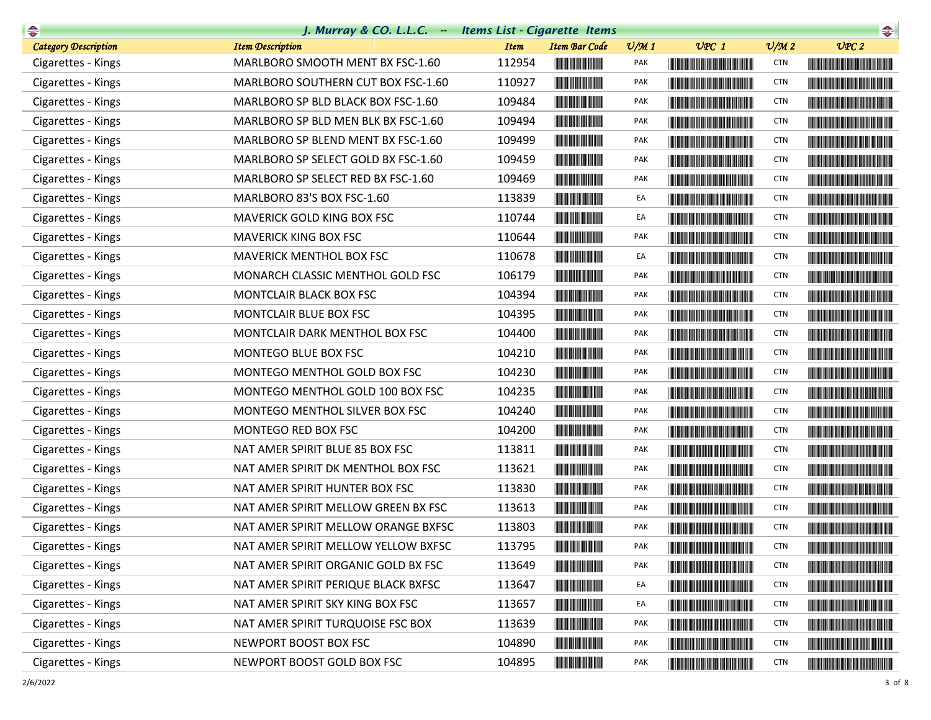| $\begin{picture}(20,10) \put(0,0){\line(1,0){10}} \put(10,0){\line(1,0){10}} \put(10,0){\line(1,0){10}} \put(10,0){\line(1,0){10}} \put(10,0){\line(1,0){10}} \put(10,0){\line(1,0){10}} \put(10,0){\line(1,0){10}} \put(10,0){\line(1,0){10}} \put(10,0){\line(1,0){10}} \put(10,0){\line(1,0){10}} \put(10,0){\line(1,0){10}} \put(10,0){\line(1$ | J. Murray & CO. L.L.C. Items List - Cigarette Items |             |                                                                                                                       |                 |                                                                                                                                                                                                                                      |                 | $\begin{picture}(20,10) \put(0,0){\line(1,0){10}} \put(10,0){\line(1,0){10}} \put(10,0){\line(1,0){10}} \put(10,0){\line(1,0){10}} \put(10,0){\line(1,0){10}} \put(10,0){\line(1,0){10}} \put(10,0){\line(1,0){10}} \put(10,0){\line(1,0){10}} \put(10,0){\line(1,0){10}} \put(10,0){\line(1,0){10}} \put(10,0){\line(1,0){10}} \put(10,0){\line(1$ |
|-----------------------------------------------------------------------------------------------------------------------------------------------------------------------------------------------------------------------------------------------------------------------------------------------------------------------------------------------------|-----------------------------------------------------|-------------|-----------------------------------------------------------------------------------------------------------------------|-----------------|--------------------------------------------------------------------------------------------------------------------------------------------------------------------------------------------------------------------------------------|-----------------|-----------------------------------------------------------------------------------------------------------------------------------------------------------------------------------------------------------------------------------------------------------------------------------------------------------------------------------------------------|
| <b>Category Description</b>                                                                                                                                                                                                                                                                                                                         | <b>Item Description</b>                             | <b>Item</b> | <b>Item Bar Code</b>                                                                                                  | $\frac{v}{M}$ 1 | $UPC$ 1                                                                                                                                                                                                                              | $\frac{v}{M}$ 2 | UPC2                                                                                                                                                                                                                                                                                                                                                |
| Cigarettes - Kings                                                                                                                                                                                                                                                                                                                                  | MARLBORO SMOOTH MENT BX FSC-1.60                    | 112954      |                                                                                                                       | <b>PAK</b>      | <u> Tanzania (Barat III) di Barat III di Barat III di Barat III di Barat III di Barat III di Barat III di Barat II</u>                                                                                                               | <b>CTN</b>      |                                                                                                                                                                                                                                                                                                                                                     |
| Cigarettes - Kings                                                                                                                                                                                                                                                                                                                                  | MARLBORO SOUTHERN CUT BOX FSC-1.60                  | 110927      |                                                                                                                       | <b>PAK</b>      |                                                                                                                                                                                                                                      | <b>CTN</b>      |                                                                                                                                                                                                                                                                                                                                                     |
| Cigarettes - Kings                                                                                                                                                                                                                                                                                                                                  | MARLBORO SP BLD BLACK BOX FSC-1.60                  | 109484      |                                                                                                                       | PAK             |                                                                                                                                                                                                                                      | <b>CTN</b>      |                                                                                                                                                                                                                                                                                                                                                     |
| Cigarettes - Kings                                                                                                                                                                                                                                                                                                                                  | MARLBORO SP BLD MEN BLK BX FSC-1.60                 | 109494      |                                                                                                                       | <b>PAK</b>      | <b>The Committee of the Committee of the Committee</b>                                                                                                                                                                               | <b>CTN</b>      |                                                                                                                                                                                                                                                                                                                                                     |
| Cigarettes - Kings                                                                                                                                                                                                                                                                                                                                  | MARLBORO SP BLEND MENT BX FSC-1.60                  | 109499      |                                                                                                                       | PAK             |                                                                                                                                                                                                                                      | <b>CTN</b>      |                                                                                                                                                                                                                                                                                                                                                     |
| Cigarettes - Kings                                                                                                                                                                                                                                                                                                                                  | MARLBORO SP SELECT GOLD BX FSC-1.60                 | 109459      | <u> Herbert Herbert in der Entschaft</u>                                                                              | <b>PAK</b>      | <u> The Community of the Community of the Community of the Community of the Community of the Community of the Community of the Community of the Community of the Community of the Community of the Community of the Community of</u> | <b>CTN</b>      |                                                                                                                                                                                                                                                                                                                                                     |
| Cigarettes - Kings                                                                                                                                                                                                                                                                                                                                  | MARLBORO SP SELECT RED BX FSC-1.60                  | 109469      |                                                                                                                       | PAK             |                                                                                                                                                                                                                                      | <b>CTN</b>      |                                                                                                                                                                                                                                                                                                                                                     |
| Cigarettes - Kings                                                                                                                                                                                                                                                                                                                                  | MARLBORO 83'S BOX FSC-1.60                          | 113839      |                                                                                                                       | EA              | <u> The Community of the Community of the Community of the Community of the Community of the Community of the Community of the Community of the Community of the Community of the Community of the Community of the Community of</u> | <b>CTN</b>      |                                                                                                                                                                                                                                                                                                                                                     |
| Cigarettes - Kings                                                                                                                                                                                                                                                                                                                                  | MAVERICK GOLD KING BOX FSC                          | 110744      |                                                                                                                       | EA              | <b>The Community of the Community</b>                                                                                                                                                                                                | <b>CTN</b>      | <b>The Committee of the Committee of the Committee of the Committee of the Committee</b>                                                                                                                                                                                                                                                            |
| Cigarettes - Kings                                                                                                                                                                                                                                                                                                                                  | <b>MAVERICK KING BOX FSC</b>                        | 110644      | <u> Herbert Herbert in der Entschaft</u>                                                                              | PAK             | <b>The Committee of the Committee of the Committee</b>                                                                                                                                                                               | <b>CTN</b>      |                                                                                                                                                                                                                                                                                                                                                     |
| Cigarettes - Kings                                                                                                                                                                                                                                                                                                                                  | MAVERICK MENTHOL BOX FSC                            | 110678      |                                                                                                                       | EA              | <b>The Community of the Community</b>                                                                                                                                                                                                | <b>CTN</b>      |                                                                                                                                                                                                                                                                                                                                                     |
| Cigarettes - Kings                                                                                                                                                                                                                                                                                                                                  | MONARCH CLASSIC MENTHOL GOLD FSC                    | 106179      | <b>The Committee of the Committee of the Committee</b>                                                                | <b>PAK</b>      |                                                                                                                                                                                                                                      | <b>CTN</b>      |                                                                                                                                                                                                                                                                                                                                                     |
| Cigarettes - Kings                                                                                                                                                                                                                                                                                                                                  | MONTCLAIR BLACK BOX FSC                             | 104394      | <u> Herbert Herbert in der Erste </u>                                                                                 | <b>PAK</b>      |                                                                                                                                                                                                                                      | <b>CTN</b>      |                                                                                                                                                                                                                                                                                                                                                     |
| Cigarettes - Kings                                                                                                                                                                                                                                                                                                                                  | MONTCLAIR BLUE BOX FSC                              | 104395      | <u> III de la provincia de la provincia de la provincia de la provincia de la provincia de la provincia de la pro</u> | PAK             | <b>The Committee of the Committee of the Committee</b>                                                                                                                                                                               | <b>CTN</b>      |                                                                                                                                                                                                                                                                                                                                                     |
| Cigarettes - Kings                                                                                                                                                                                                                                                                                                                                  | MONTCLAIR DARK MENTHOL BOX FSC                      | 104400      |                                                                                                                       | PAK             |                                                                                                                                                                                                                                      | <b>CTN</b>      | <u> Harry Harry Harry Harry Harry Harry Harry Harry Harry Harry Harry Harry Harry Harry Harry Harry Harry Harry Harry Harry Harry Harry Harry Harry Harry Harry Harry Harry Harry Harry Harry Harry Harry Harry Harry Harry Harr</u>                                                                                                                |
| Cigarettes - Kings                                                                                                                                                                                                                                                                                                                                  | MONTEGO BLUE BOX FSC                                | 104210      |                                                                                                                       | PAK             |                                                                                                                                                                                                                                      | <b>CTN</b>      |                                                                                                                                                                                                                                                                                                                                                     |
| Cigarettes - Kings                                                                                                                                                                                                                                                                                                                                  | MONTEGO MENTHOL GOLD BOX FSC                        | 104230      | <u> Herbert Herbert in der Entschaft</u>                                                                              | PAK             |                                                                                                                                                                                                                                      | <b>CTN</b>      |                                                                                                                                                                                                                                                                                                                                                     |
| Cigarettes - Kings                                                                                                                                                                                                                                                                                                                                  | MONTEGO MENTHOL GOLD 100 BOX FSC                    | 104235      | <u> Herbert Herbert in der Entschaft</u>                                                                              | PAK             | <b>The Committee of the Committee of the Committee</b>                                                                                                                                                                               | <b>CTN</b>      |                                                                                                                                                                                                                                                                                                                                                     |
| Cigarettes - Kings                                                                                                                                                                                                                                                                                                                                  | MONTEGO MENTHOL SILVER BOX FSC                      | 104240      |                                                                                                                       | PAK             |                                                                                                                                                                                                                                      | <b>CTN</b>      |                                                                                                                                                                                                                                                                                                                                                     |
| Cigarettes - Kings                                                                                                                                                                                                                                                                                                                                  | MONTEGO RED BOX FSC                                 | 104200      |                                                                                                                       | PAK             | <b>The Committee of the Committee of the Committee of the Committee</b>                                                                                                                                                              | <b>CTN</b>      | <b>The Common Section</b>                                                                                                                                                                                                                                                                                                                           |
| Cigarettes - Kings                                                                                                                                                                                                                                                                                                                                  | NAT AMER SPIRIT BLUE 85 BOX FSC                     | 113811      | <u> Herbert Herbert in der Erste der Erste </u>                                                                       | PAK             |                                                                                                                                                                                                                                      | <b>CTN</b>      |                                                                                                                                                                                                                                                                                                                                                     |
| Cigarettes - Kings                                                                                                                                                                                                                                                                                                                                  | NAT AMER SPIRIT DK MENTHOL BOX FSC                  | 113621      |                                                                                                                       | PAK             |                                                                                                                                                                                                                                      | <b>CTN</b>      | <u> The Common School and The Common School and The Common School and The Common School and The Common School and</u>                                                                                                                                                                                                                               |
| Cigarettes - Kings                                                                                                                                                                                                                                                                                                                                  | NAT AMER SPIRIT HUNTER BOX FSC                      | 113830      |                                                                                                                       | <b>PAK</b>      |                                                                                                                                                                                                                                      | <b>CTN</b>      |                                                                                                                                                                                                                                                                                                                                                     |
| Cigarettes - Kings                                                                                                                                                                                                                                                                                                                                  | NAT AMER SPIRIT MELLOW GREEN BX FSC                 | 113613      |                                                                                                                       | PAK             |                                                                                                                                                                                                                                      | <b>CTN</b>      |                                                                                                                                                                                                                                                                                                                                                     |
| Cigarettes - Kings                                                                                                                                                                                                                                                                                                                                  | NAT AMER SPIRIT MELLOW ORANGE BXFSC                 | 113803      | <u> III de la contrada de la con</u>                                                                                  | PAK             |                                                                                                                                                                                                                                      | <b>CTN</b>      |                                                                                                                                                                                                                                                                                                                                                     |
| Cigarettes - Kings                                                                                                                                                                                                                                                                                                                                  | NAT AMER SPIRIT MELLOW YELLOW BXFSC                 | 113795      |                                                                                                                       | PAK             |                                                                                                                                                                                                                                      | <b>CTN</b>      |                                                                                                                                                                                                                                                                                                                                                     |
| Cigarettes - Kings                                                                                                                                                                                                                                                                                                                                  | NAT AMER SPIRIT ORGANIC GOLD BX FSC                 | 113649      |                                                                                                                       | PAK             |                                                                                                                                                                                                                                      | <b>CTN</b>      |                                                                                                                                                                                                                                                                                                                                                     |
| Cigarettes - Kings                                                                                                                                                                                                                                                                                                                                  | NAT AMER SPIRIT PERIQUE BLACK BXFSC                 | 113647      | <u> Herman Maria San Barat </u>                                                                                       | EA              |                                                                                                                                                                                                                                      | <b>CTN</b>      | <u> Harry Harry Harry Harry Harry Harry Harry Harry Harry Harry Harry Harry Harry Harry Harry Harry Harry Harry Harry Harry Harry Harry Harry Harry Harry Harry Harry Harry Harry Harry Harry Harry Harry Harry Harry Harry Harr</u>                                                                                                                |
| Cigarettes - Kings                                                                                                                                                                                                                                                                                                                                  | NAT AMER SPIRIT SKY KING BOX FSC                    | 113657      | <u> III de anomano de la pro</u>                                                                                      | EA              | <u> Harry Harry Harry Harry Harry Harry Harry Harry Harry Harry Harry Harry Harry Harry Harry Harry Harry Harry H</u>                                                                                                                | <b>CTN</b>      |                                                                                                                                                                                                                                                                                                                                                     |
| Cigarettes - Kings                                                                                                                                                                                                                                                                                                                                  | NAT AMER SPIRIT TURQUOISE FSC BOX                   | 113639      |                                                                                                                       | PAK             |                                                                                                                                                                                                                                      | <b>CTN</b>      |                                                                                                                                                                                                                                                                                                                                                     |
| Cigarettes - Kings                                                                                                                                                                                                                                                                                                                                  | NEWPORT BOOST BOX FSC                               | 104890      | <u> Herbert Herbert in der Erste </u>                                                                                 | PAK             |                                                                                                                                                                                                                                      | CTN             |                                                                                                                                                                                                                                                                                                                                                     |
| Cigarettes - Kings                                                                                                                                                                                                                                                                                                                                  | NEWPORT BOOST GOLD BOX FSC                          | 104895      |                                                                                                                       | PAK             | <u> Timba ka kasa sa mga kasang ng mga kasang ng mga kasang ng mga kasang ng mga kasang ng mga kasang ng mga kasang ng mga kasang ng mga kasang ng mga kasang ng mga kasang ng mga kasang ng mga kasang ng mga kasang ng mga kas</u> | CTN             | <u> Harry Harry Harry Harry Harry Harry Harry Harry Harry Harry Harry Harry Harry Harry Harry Harry Harry Harry Harry Harry Harry Harry Harry Harry Harry Harry Harry Harry Harry Harry Harry Harry Harry Harry Harry Harry Harr</u>                                                                                                                |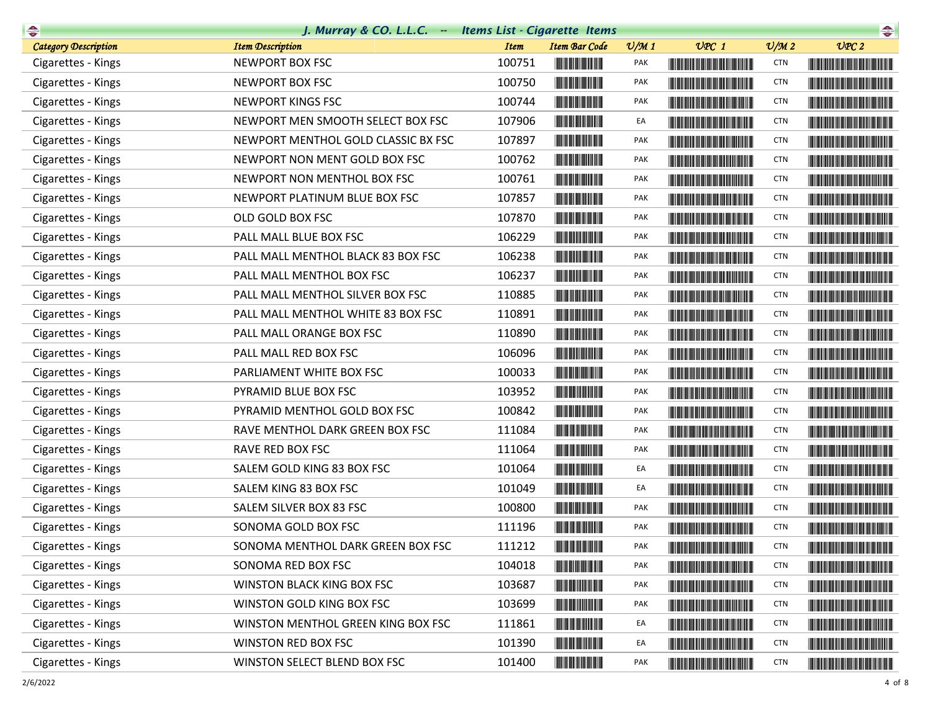| $\rightarrow$               | J. Murray & CO. L.L.C. Items List - Cigarette Items |             |                                                                                                                       |                 |                                                                                                                                                                                                                                      |                             | $\begin{picture}(20,10) \put(0,0){\line(1,0){10}} \put(10,0){\line(1,0){10}} \put(10,0){\line(1,0){10}} \put(10,0){\line(1,0){10}} \put(10,0){\line(1,0){10}} \put(10,0){\line(1,0){10}} \put(10,0){\line(1,0){10}} \put(10,0){\line(1,0){10}} \put(10,0){\line(1,0){10}} \put(10,0){\line(1,0){10}} \put(10,0){\line(1,0){10}} \put(10,0){\line(1$ |
|-----------------------------|-----------------------------------------------------|-------------|-----------------------------------------------------------------------------------------------------------------------|-----------------|--------------------------------------------------------------------------------------------------------------------------------------------------------------------------------------------------------------------------------------|-----------------------------|-----------------------------------------------------------------------------------------------------------------------------------------------------------------------------------------------------------------------------------------------------------------------------------------------------------------------------------------------------|
| <b>Category Description</b> | <b>Item Description</b>                             | <b>Item</b> | <b>Item Bar Code</b>                                                                                                  | $\frac{v}{M}$ 1 | $UPC$ 1                                                                                                                                                                                                                              | $\mathcal{O}/\mathcal{M}$ 2 | UPC2                                                                                                                                                                                                                                                                                                                                                |
| Cigarettes - Kings          | NEWPORT BOX FSC                                     | 100751      |                                                                                                                       | PAK             | <b>The Community of the Community</b>                                                                                                                                                                                                | <b>CTN</b>                  |                                                                                                                                                                                                                                                                                                                                                     |
| Cigarettes - Kings          | NEWPORT BOX FSC                                     | 100750      | <u> Herbert Herbert i Sta</u>                                                                                         | PAK             | <u> Timba ka matsayin ka matsayin ka matsayin ka matsayin ka matsayin ka matsayin ka matsayin ka matsayin ka matsayin ka matsayin ka matsayin ka matsayin ka matsayin ka matsayin ka matsayin ka matsayin ka matsayin ka matsayi</u> | <b>CTN</b>                  | <u> The Community of the Community of the Community of the Community of the Community of the Community of the Community of the Community of the Community of the Community of the Community of the Community of the Community of</u>                                                                                                                |
| Cigarettes - Kings          | NEWPORT KINGS FSC                                   | 100744      |                                                                                                                       | PAK             |                                                                                                                                                                                                                                      | <b>CTN</b>                  | <u> Harat Barat Barat Barat Barat Ba</u>                                                                                                                                                                                                                                                                                                            |
| Cigarettes - Kings          | NEWPORT MEN SMOOTH SELECT BOX FSC                   | 107906      | <u> Herbert Herbert in der Entschaft</u>                                                                              | EA              | <u> The Community of the Community of the Community of the Community of the Community of the Community of the Community of the Community of the Community of the Community of the Community of the Community of the Community of</u> | <b>CTN</b>                  | <u> Harris Harris Harris Harris Harris Harris Harris Harris Harris Harris Harris Harris Harris Harris Harris Harris Harris Harris Harris Harris Harris Harris Harris Harris Harris Harris Harris Harris Harris Harris Harris Har</u>                                                                                                                |
| Cigarettes - Kings          | NEWPORT MENTHOL GOLD CLASSIC BX FSC                 | 107897      | <u> Herbert Herbert in der Erste </u>                                                                                 | <b>PAK</b>      |                                                                                                                                                                                                                                      | <b>CTN</b>                  | <u> Harris Harris Harris Harris Harris Harris Harris Harris Harris Harris Harris Harris Harris Harris Harris Harris Harris Harris Harris Harris Harris Harris Harris Harris Harris Harris Harris Harris Harris Harris Harris Har</u>                                                                                                                |
| Cigarettes - Kings          | NEWPORT NON MENT GOLD BOX FSC                       | 100762      | <u> Herbert Herbert in der Entschaft</u>                                                                              | PAK             | <u> The Community of the Community of the Community of the Community of the Community of the Community of the Community of the Community of the Community of the Community of the Community of the Community of the Community of</u> | <b>CTN</b>                  |                                                                                                                                                                                                                                                                                                                                                     |
| Cigarettes - Kings          | NEWPORT NON MENTHOL BOX FSC                         | 100761      |                                                                                                                       | PAK             | <b>The Community of the Community</b>                                                                                                                                                                                                | <b>CTN</b>                  | <b>The Common Section And Section</b>                                                                                                                                                                                                                                                                                                               |
| Cigarettes - Kings          | NEWPORT PLATINUM BLUE BOX FSC                       | 107857      |                                                                                                                       | PAK             |                                                                                                                                                                                                                                      | <b>CTN</b>                  |                                                                                                                                                                                                                                                                                                                                                     |
| Cigarettes - Kings          | OLD GOLD BOX FSC                                    | 107870      | <u> Herbert Herbert in der Erste </u>                                                                                 | PAK             | <u> The Community of the Community of the Community of the Community of the Community of the Community of the Community of the Community of the Community of the Community of the Community of the Community of the Community of</u> | <b>CTN</b>                  |                                                                                                                                                                                                                                                                                                                                                     |
| Cigarettes - Kings          | PALL MALL BLUE BOX FSC                              | 106229      |                                                                                                                       | <b>PAK</b>      |                                                                                                                                                                                                                                      | <b>CTN</b>                  |                                                                                                                                                                                                                                                                                                                                                     |
| Cigarettes - Kings          | PALL MALL MENTHOL BLACK 83 BOX FSC                  | 106238      |                                                                                                                       | <b>PAK</b>      | <b>The Common Section</b>                                                                                                                                                                                                            | <b>CTN</b>                  |                                                                                                                                                                                                                                                                                                                                                     |
| Cigarettes - Kings          | PALL MALL MENTHOL BOX FSC                           | 106237      |                                                                                                                       | PAK             | <u> Timba ka masa sa kasang sa mga kasang ng mga kasang ng mga kasang ng mga kasang ng mga kasang ng mga kasang ng mga kasang ng mga kasang ng mga kasang ng mga kasang ng mga kasang ng mga kasang ng mga kasang ng mga kasang </u> | <b>CTN</b>                  |                                                                                                                                                                                                                                                                                                                                                     |
| Cigarettes - Kings          | PALL MALL MENTHOL SILVER BOX FSC                    | 110885      | <u> III de la contrada de la con</u>                                                                                  | <b>PAK</b>      | <u> Timba ka masa sa kasang mga kalendari ng mga kasang mga kasang mga kasang mga kasang mga kasang mga kasang mga kasang mga kasang mga kasang mga kasang mga kasang mga kasang mga kasang mga kasang mga kasang mga kasang mga</u> | <b>CTN</b>                  |                                                                                                                                                                                                                                                                                                                                                     |
| Cigarettes - Kings          | PALL MALL MENTHOL WHITE 83 BOX FSC                  | 110891      |                                                                                                                       | PAK             | <u> Harry Harry Harry Harry Harry Harry Harry Harry Harry Harry Harry Harry Harry Harry Harry Harry Harry Harry Harry Harry Harry Harry Harry Harry Harry Harry Harry Harry Harry Harry Harry Harry Harry Harry Harry Harry Harr</u> | <b>CTN</b>                  | <u> Lithagan ann an 1970 ann an 1970 ann an 1971 ann an 1971 ann an 1971 ann an 1971 ann an 1971 ann an 1971 ann a</u>                                                                                                                                                                                                                              |
| Cigarettes - Kings          | PALL MALL ORANGE BOX FSC                            | 110890      |                                                                                                                       | PAK             | <u> Timba ka masa sa kasang mga kalendari ng mga kasang mga kalendari ng mga kasang mga kasang mga kasang mga kasang mga kasang mga kasang mga kasang mga kasang mga kasang mga kasang mga kasang mga kasang mga kasang mga kasa</u> | <b>CTN</b>                  |                                                                                                                                                                                                                                                                                                                                                     |
| Cigarettes - Kings          | PALL MALL RED BOX FSC                               | 106096      |                                                                                                                       | PAK             |                                                                                                                                                                                                                                      | <b>CTN</b>                  |                                                                                                                                                                                                                                                                                                                                                     |
| Cigarettes - Kings          | PARLIAMENT WHITE BOX FSC                            | 100033      | <u> Herbert Herbert i Sta</u>                                                                                         | PAK             | <u> Harry Harry Harry Harry Harry Harry Harry Harry Harry Harry Harry Harry Harry Harry Harry Harry Harry Harry Harry Harry Harry Harry Harry Harry Harry Harry Harry Harry Harry Harry Harry Harry Harry Harry Harry Harry Harr</u> | <b>CTN</b>                  | <u> Harry Harry Harry Harry Harry Harry Harry Harry Harry Harry Harry Harry Harry Harry Harry Harry Harry Harry Harry Harry Harry Harry Harry Harry Harry Harry Harry Harry Harry Harry Harry Harry Harry Harry Harry Harry Harr</u>                                                                                                                |
| Cigarettes - Kings          | PYRAMID BLUE BOX FSC                                | 103952      |                                                                                                                       | PAK             |                                                                                                                                                                                                                                      | <b>CTN</b>                  | <u> Liberal Maria Maria Maria Maria Maria Maria Maria Maria Maria Maria Maria Maria Maria Maria Maria Maria Maria </u>                                                                                                                                                                                                                              |
| Cigarettes - Kings          | PYRAMID MENTHOL GOLD BOX FSC                        | 100842      |                                                                                                                       | PAK             |                                                                                                                                                                                                                                      | <b>CTN</b>                  |                                                                                                                                                                                                                                                                                                                                                     |
| Cigarettes - Kings          | RAVE MENTHOL DARK GREEN BOX FSC                     | 111084      |                                                                                                                       | PAK             | <b>The Committee of the Committee of the Committee</b>                                                                                                                                                                               | <b>CTN</b>                  |                                                                                                                                                                                                                                                                                                                                                     |
| Cigarettes - Kings          | RAVE RED BOX FSC                                    | 111064      | <u> Herbert Herbert in der Erste </u>                                                                                 | PAK             | <b>The Committee of the Committee of the Committee</b>                                                                                                                                                                               | <b>CTN</b>                  | <u> Harry Harry Harry Harry Harry Harry Harry Harry Harry Harry Harry Harry Harry Harry Harry Harry Harry Harry Harry Harry Harry Harry Harry Harry Harry Harry Harry Harry Harry Harry Harry Harry Harry Harry Harry Harry Harr</u>                                                                                                                |
| Cigarettes - Kings          | SALEM GOLD KING 83 BOX FSC                          | 101064      |                                                                                                                       | EA              |                                                                                                                                                                                                                                      | <b>CTN</b>                  |                                                                                                                                                                                                                                                                                                                                                     |
| Cigarettes - Kings          | SALEM KING 83 BOX FSC                               | 101049      |                                                                                                                       | EA              | <u> Liberal Maria de la contrada de la con</u>                                                                                                                                                                                       | <b>CTN</b>                  |                                                                                                                                                                                                                                                                                                                                                     |
| Cigarettes - Kings          | SALEM SILVER BOX 83 FSC                             | 100800      |                                                                                                                       | PAK             |                                                                                                                                                                                                                                      | <b>CTN</b>                  |                                                                                                                                                                                                                                                                                                                                                     |
| Cigarettes - Kings          | SONOMA GOLD BOX FSC                                 | 111196      | <b>The Committee of the Committee of the Committee</b>                                                                | PAK             |                                                                                                                                                                                                                                      | <b>CTN</b>                  |                                                                                                                                                                                                                                                                                                                                                     |
| Cigarettes - Kings          | SONOMA MENTHOL DARK GREEN BOX FSC                   | 111212      | <b>THE REAL PROPERTY</b>                                                                                              | PAK             |                                                                                                                                                                                                                                      | <b>CTN</b>                  |                                                                                                                                                                                                                                                                                                                                                     |
| Cigarettes - Kings          | SONOMA RED BOX FSC                                  | 104018      |                                                                                                                       | PAK             | <b>The Community of the Community</b>                                                                                                                                                                                                | <b>CTN</b>                  | <u> Harry Harry Harry Harry Harry Harry Harry Harry Harry Harry Harry Harry Harry Harry Harry Harry Harry Harry Harry Harry Harry Harry Harry Harry Harry Harry Harry Harry Harry Harry Harry Harry Harry Harry Harry Harry Harr</u>                                                                                                                |
| Cigarettes - Kings          | WINSTON BLACK KING BOX FSC                          | 103687      | <u> III de la provincia de la provincia de la provincia de la provincia de la provincia de la provincia de la pro</u> | PAK             | <b>The Committee of the Committee of the Committee</b>                                                                                                                                                                               | <b>CTN</b>                  |                                                                                                                                                                                                                                                                                                                                                     |
| Cigarettes - Kings          | WINSTON GOLD KING BOX FSC                           | 103699      | <u> III de la provincia de la provincia de la provincia de la provincia de la provincia de la provincia de la pro</u> | PAK             | <u> Tanzania de la provincia de la provincia de la provincia de la provincia de la provincia de la provincia de</u>                                                                                                                  | <b>CTN</b>                  | <u> The Community of the Community of the Community of the Community of the Community of the Community of the Community of the Community of the Community of the Community of the Community of the Community of the Community of</u>                                                                                                                |
| Cigarettes - Kings          | WINSTON MENTHOL GREEN KING BOX FSC                  | 111861      | <b>The Common Service</b>                                                                                             | EA              | <u> Tanzania (1989)</u>                                                                                                                                                                                                              | <b>CTN</b>                  | <u> Harry Harry Harry Harry Harry Harry Harry Harry Harry Harry Harry Harry Harry Harry Harry Harry Harry Harry Harry Harry Harry Harry Harry Harry Harry Harry Harry Harry Harry Harry Harry Harry Harry Harry Harry Harry Harr</u>                                                                                                                |
| Cigarettes - Kings          | WINSTON RED BOX FSC                                 | 101390      | <u> Herbert Herbert in der Erste </u>                                                                                 | EA              | <u> Tanzania de la provincia de la provincia de la provincia de la provincia de la provincia de la provincia de</u>                                                                                                                  | <b>CTN</b>                  |                                                                                                                                                                                                                                                                                                                                                     |
| Cigarettes - Kings          | WINSTON SELECT BLEND BOX FSC                        | 101400      | <u> Herbert Herbert in der Erste </u>                                                                                 | PAK             | <b>CONTRACTOR</b>                                                                                                                                                                                                                    | <b>CTN</b>                  | <b>The Community of the Community</b>                                                                                                                                                                                                                                                                                                               |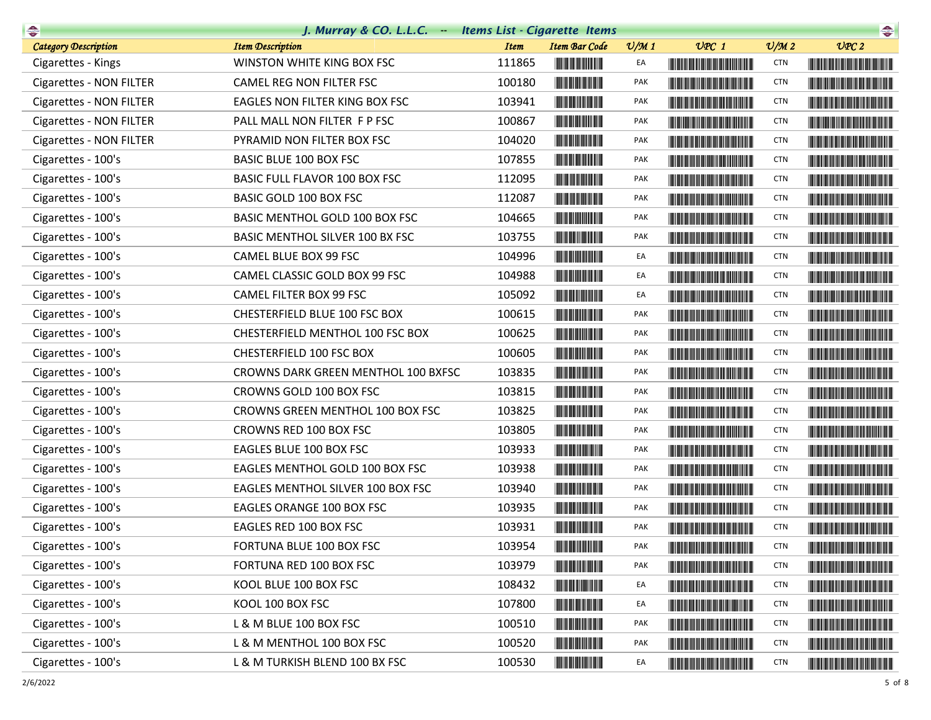| $\begin{picture}(20,10) \put(0,0){\line(1,0){10}} \put(0,0){\line(1,0){10}} \put(0,0){\line(1,0){10}} \put(0,0){\line(1,0){10}} \put(0,0){\line(1,0){10}} \put(0,0){\line(1,0){10}} \put(0,0){\line(1,0){10}} \put(0,0){\line(1,0){10}} \put(0,0){\line(1,0){10}} \put(0,0){\line(1,0){10}} \put(0,0){\line(1,0){10}} \put(0,0){\line(1,0){10}} \put(0,$ | J. Murray & CO. L.L.C. - Items List - Cigarette Items |             |                                                                                                                       |                 |                                                                                                                                                                                                                                      |                 | $\frac{1}{\sqrt{2\pi}}$                                                                                                                                                                                                              |
|----------------------------------------------------------------------------------------------------------------------------------------------------------------------------------------------------------------------------------------------------------------------------------------------------------------------------------------------------------|-------------------------------------------------------|-------------|-----------------------------------------------------------------------------------------------------------------------|-----------------|--------------------------------------------------------------------------------------------------------------------------------------------------------------------------------------------------------------------------------------|-----------------|--------------------------------------------------------------------------------------------------------------------------------------------------------------------------------------------------------------------------------------|
| <b>Category Description</b>                                                                                                                                                                                                                                                                                                                              | <b>Item Description</b>                               | <b>Item</b> | <b>Item Bar Code</b>                                                                                                  | $\frac{v}{M}$ 1 | $UPC$ 1                                                                                                                                                                                                                              | $\frac{v}{M}$ 2 | UPC2                                                                                                                                                                                                                                 |
| Cigarettes - Kings                                                                                                                                                                                                                                                                                                                                       | WINSTON WHITE KING BOX FSC                            | 111865      |                                                                                                                       | EA              |                                                                                                                                                                                                                                      | <b>CTN</b>      |                                                                                                                                                                                                                                      |
| Cigarettes - NON FILTER                                                                                                                                                                                                                                                                                                                                  | CAMEL REG NON FILTER FSC                              | 100180      |                                                                                                                       | PAK             | <b>The Common Section</b>                                                                                                                                                                                                            | <b>CTN</b>      |                                                                                                                                                                                                                                      |
| Cigarettes - NON FILTER                                                                                                                                                                                                                                                                                                                                  | EAGLES NON FILTER KING BOX FSC                        | 103941      |                                                                                                                       | PAK             |                                                                                                                                                                                                                                      | <b>CTN</b>      |                                                                                                                                                                                                                                      |
| <b>Cigarettes - NON FILTER</b>                                                                                                                                                                                                                                                                                                                           | PALL MALL NON FILTER F P FSC                          | 100867      |                                                                                                                       | PAK             | <b>The Community of the Community</b>                                                                                                                                                                                                | <b>CTN</b>      |                                                                                                                                                                                                                                      |
| <b>Cigarettes - NON FILTER</b>                                                                                                                                                                                                                                                                                                                           | PYRAMID NON FILTER BOX FSC                            | 104020      | <u> Herman Maria San Barat </u>                                                                                       | <b>PAK</b>      |                                                                                                                                                                                                                                      | <b>CTN</b>      |                                                                                                                                                                                                                                      |
| Cigarettes - 100's                                                                                                                                                                                                                                                                                                                                       | <b>BASIC BLUE 100 BOX FSC</b>                         | 107855      |                                                                                                                       | PAK             | <u> The Community of the Community of the Community of the Community of the Community of the Community of the Community of the Community of the Community of the Community of the Community of the Community of the Community of</u> | <b>CTN</b>      |                                                                                                                                                                                                                                      |
| Cigarettes - 100's                                                                                                                                                                                                                                                                                                                                       | <b>BASIC FULL FLAVOR 100 BOX FSC</b>                  | 112095      |                                                                                                                       | <b>PAK</b>      | <u> Harry Harry Harry Harry Harry Harry Harry Harry Harry Harry Harry Harry Harry Harry Harry Harry Harry Harry Harry Harry Harry Harry Harry Harry Harry Harry Harry Harry Harry Harry Harry Harry Harry Harry Harry Harry Harr</u> | <b>CTN</b>      |                                                                                                                                                                                                                                      |
| Cigarettes - 100's                                                                                                                                                                                                                                                                                                                                       | BASIC GOLD 100 BOX FSC                                | 112087      |                                                                                                                       | PAK             |                                                                                                                                                                                                                                      | <b>CTN</b>      |                                                                                                                                                                                                                                      |
| Cigarettes - 100's                                                                                                                                                                                                                                                                                                                                       | BASIC MENTHOL GOLD 100 BOX FSC                        | 104665      |                                                                                                                       | PAK             | <u> The Community of the Community of the Community of the Community of the Community of the Community of the Community of the Community of the Community of the Community of the Community of the Community of the Community of</u> | <b>CTN</b>      |                                                                                                                                                                                                                                      |
| Cigarettes - 100's                                                                                                                                                                                                                                                                                                                                       | BASIC MENTHOL SILVER 100 BX FSC                       | 103755      |                                                                                                                       | PAK             |                                                                                                                                                                                                                                      | <b>CTN</b>      |                                                                                                                                                                                                                                      |
| Cigarettes - 100's                                                                                                                                                                                                                                                                                                                                       | CAMEL BLUE BOX 99 FSC                                 | 104996      |                                                                                                                       | EA              |                                                                                                                                                                                                                                      | <b>CTN</b>      |                                                                                                                                                                                                                                      |
| Cigarettes - 100's                                                                                                                                                                                                                                                                                                                                       | CAMEL CLASSIC GOLD BOX 99 FSC                         | 104988      |                                                                                                                       | EA              | <u> Harry Harry Harry Harry Harry Harry Harry Harry Harry Harry Harry Harry Harry Harry Harry Harry Harry Harry Harry Harry Harry Harry Harry Harry Harry Harry Harry Harry Harry Harry Harry Harry Harry Harry Harry Harry Harr</u> | <b>CTN</b>      |                                                                                                                                                                                                                                      |
| Cigarettes - 100's                                                                                                                                                                                                                                                                                                                                       | CAMEL FILTER BOX 99 FSC                               | 105092      |                                                                                                                       | EA              | <u> The Community of the Community of the Community of the Community of the Community of the Community of the Community of the Community of the Community of the Community of the Community of the Community of the Community of</u> | <b>CTN</b>      |                                                                                                                                                                                                                                      |
| Cigarettes - 100's                                                                                                                                                                                                                                                                                                                                       | CHESTERFIELD BLUE 100 FSC BOX                         | 100615      |                                                                                                                       | PAK             | <b>CONTRACTOR</b>                                                                                                                                                                                                                    | <b>CTN</b>      | <u> Harry Harry Harry Harry Harry Harry Harry Harry Harry Harry Harry Harry Harry Harry Harry Harry Harry Harry Harry Harry Harry Harry Harry Harry Harry Harry Harry Harry Harry Harry Harry Harry Harry Harry Harry Harry Harr</u> |
| Cigarettes - 100's                                                                                                                                                                                                                                                                                                                                       | CHESTERFIELD MENTHOL 100 FSC BOX                      | 100625      |                                                                                                                       | <b>PAK</b>      | <u> Harry Harry Harry Harry Harry Harry Harry Harry Harry Harry Harry Harry Harry Harry Harry Harry Harry Harry Harry Harry Harry Harry Harry Harry Harry Harry Harry Harry Harry Harry Harry Harry Harry Harry Harry Harry Harr</u> | <b>CTN</b>      |                                                                                                                                                                                                                                      |
| Cigarettes - 100's                                                                                                                                                                                                                                                                                                                                       | CHESTERFIELD 100 FSC BOX                              | 100605      |                                                                                                                       | PAK             | <b>The Common Section</b>                                                                                                                                                                                                            | <b>CTN</b>      |                                                                                                                                                                                                                                      |
| Cigarettes - 100's                                                                                                                                                                                                                                                                                                                                       | CROWNS DARK GREEN MENTHOL 100 BXFSC                   | 103835      |                                                                                                                       | PAK             | <b>The Committee of the Committee of the Committee</b>                                                                                                                                                                               | <b>CTN</b>      | <b>The Committee of the Committee of the Committee</b>                                                                                                                                                                               |
| Cigarettes - 100's                                                                                                                                                                                                                                                                                                                                       | CROWNS GOLD 100 BOX FSC                               | 103815      |                                                                                                                       | PAK             | <b>The Committee of the Committee of the Committee</b>                                                                                                                                                                               | <b>CTN</b>      |                                                                                                                                                                                                                                      |
| Cigarettes - 100's                                                                                                                                                                                                                                                                                                                                       | CROWNS GREEN MENTHOL 100 BOX FSC                      | 103825      |                                                                                                                       | PAK             |                                                                                                                                                                                                                                      | <b>CTN</b>      |                                                                                                                                                                                                                                      |
| Cigarettes - 100's                                                                                                                                                                                                                                                                                                                                       | CROWNS RED 100 BOX FSC                                | 103805      |                                                                                                                       | PAK             | <u> Harry Harry Harry Harry Harry Harry Harry Harry Harry Harry Harry Harry Harry Harry Harry Harry Harry Harry Harry Harry Harry Harry Harry Harry Harry Harry Harry Harry Harry Harry Harry Harry Harry Harry Harry Harry Harr</u> | <b>CTN</b>      |                                                                                                                                                                                                                                      |
| Cigarettes - 100's                                                                                                                                                                                                                                                                                                                                       | EAGLES BLUE 100 BOX FSC                               | 103933      | <u> Indian American Indian Indian Indian Indian Indian Indian Indian Indian Indian Indian Indian Indian Indian In</u> | PAK             |                                                                                                                                                                                                                                      | <b>CTN</b>      |                                                                                                                                                                                                                                      |
| Cigarettes - 100's                                                                                                                                                                                                                                                                                                                                       | EAGLES MENTHOL GOLD 100 BOX FSC                       | 103938      |                                                                                                                       | PAK             |                                                                                                                                                                                                                                      | <b>CTN</b>      |                                                                                                                                                                                                                                      |
| Cigarettes - 100's                                                                                                                                                                                                                                                                                                                                       | EAGLES MENTHOL SILVER 100 BOX FSC                     | 103940      | <u> Herbert Herbert in der Entschaft</u>                                                                              | PAK             | <b>The Committee of the Committee of the Committee</b>                                                                                                                                                                               | <b>CTN</b>      |                                                                                                                                                                                                                                      |
| Cigarettes - 100's                                                                                                                                                                                                                                                                                                                                       | EAGLES ORANGE 100 BOX FSC                             | 103935      |                                                                                                                       | PAK             |                                                                                                                                                                                                                                      | <b>CTN</b>      |                                                                                                                                                                                                                                      |
| Cigarettes - 100's                                                                                                                                                                                                                                                                                                                                       | EAGLES RED 100 BOX FSC                                | 103931      |                                                                                                                       | PAK             |                                                                                                                                                                                                                                      | <b>CTN</b>      | <u> Harry Harry Harry Harry Harry Harry Harry Harry Harry Harry Harry Harry Harry Harry Harry Harry Harry Harry Harry Harry Harry Harry Harry Harry Harry Harry Harry Harry Harry Harry Harry Harry Harry Harry Harry Harry Harr</u> |
| Cigarettes - 100's                                                                                                                                                                                                                                                                                                                                       | FORTUNA BLUE 100 BOX FSC                              | 103954      |                                                                                                                       | PAK             |                                                                                                                                                                                                                                      | <b>CTN</b>      |                                                                                                                                                                                                                                      |
| Cigarettes - 100's                                                                                                                                                                                                                                                                                                                                       | FORTUNA RED 100 BOX FSC                               | 103979      |                                                                                                                       | PAK             | <b>The Community of the Community</b>                                                                                                                                                                                                | <b>CTN</b>      |                                                                                                                                                                                                                                      |
| Cigarettes - 100's                                                                                                                                                                                                                                                                                                                                       | KOOL BLUE 100 BOX FSC                                 | 108432      | <u> Herbert Herbert in der </u>                                                                                       | EA              |                                                                                                                                                                                                                                      | <b>CTN</b>      |                                                                                                                                                                                                                                      |
| Cigarettes - 100's                                                                                                                                                                                                                                                                                                                                       | KOOL 100 BOX FSC                                      | 107800      | <u> Herbert Herbert in der Erste </u>                                                                                 | EA              | <u> Tanzania (Barat III) et al. International de la proprietat de la proprietat de la proprietat de la proprietat </u>                                                                                                               | <b>CTN</b>      |                                                                                                                                                                                                                                      |
| Cigarettes - 100's                                                                                                                                                                                                                                                                                                                                       | L & M BLUE 100 BOX FSC                                | 100510      |                                                                                                                       | PAK             | <u> Harry Harry Harry Harry Harry Harry Harry Harry Harry Harry Harry Harry Harry Harry Harry Harry Harry Harry Harry Harry Harry Harry Harry Harry Harry Harry Harry Harry Harry Harry Harry Harry Harry Harry Harry Harry Harr</u> | <b>CTN</b>      |                                                                                                                                                                                                                                      |
| Cigarettes - 100's                                                                                                                                                                                                                                                                                                                                       | L & M MENTHOL 100 BOX FSC                             | 100520      | <u> Herbert Herbert in der Entschaft</u>                                                                              | PAK             | <u> The Community of the Community of the Community of the Community of the Community of the Community of the Community of the Community of the Community of the Community of the Community of the Community of the Community of</u> | <b>CTN</b>      |                                                                                                                                                                                                                                      |
| Cigarettes - 100's                                                                                                                                                                                                                                                                                                                                       | L & M TURKISH BLEND 100 BX FSC                        | 100530      | <u> Herbert Herbert in der Entschaft</u>                                                                              | EA              | <b>The Community of the Community</b>                                                                                                                                                                                                | <b>CTN</b>      |                                                                                                                                                                                                                                      |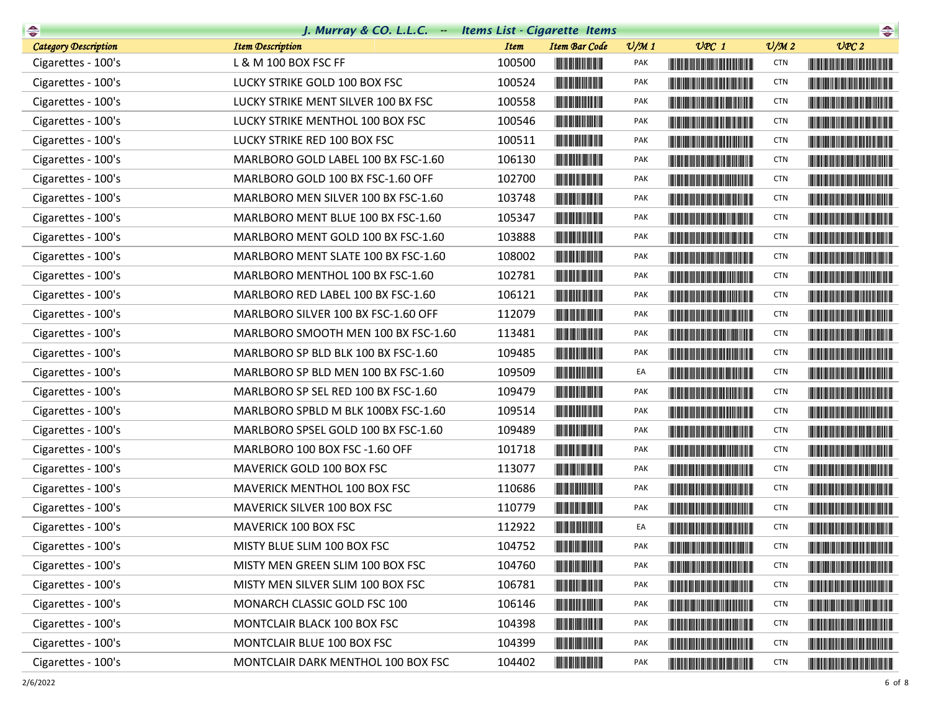| $\rightarrow$               | J. Murray & CO. L.L.C. - Items List - Cigarette Items |             |                                                        |                 |                                                                                                                                                                                                                                      |                 | $\begin{picture}(20,10) \put(0,0){\line(1,0){10}} \put(0,0){\line(1,0){10}} \put(0,0){\line(1,0){10}} \put(0,0){\line(1,0){10}} \put(0,0){\line(1,0){10}} \put(0,0){\line(1,0){10}} \put(0,0){\line(1,0){10}} \put(0,0){\line(1,0){10}} \put(0,0){\line(1,0){10}} \put(0,0){\line(1,0){10}} \put(0,0){\line(1,0){10}} \put(0,0){\line(1,0){10}} \put(0,$ |
|-----------------------------|-------------------------------------------------------|-------------|--------------------------------------------------------|-----------------|--------------------------------------------------------------------------------------------------------------------------------------------------------------------------------------------------------------------------------------|-----------------|----------------------------------------------------------------------------------------------------------------------------------------------------------------------------------------------------------------------------------------------------------------------------------------------------------------------------------------------------------|
| <b>Category Description</b> | <b>Item Description</b>                               | <b>Item</b> | <b>Item Bar Code</b>                                   | $\frac{v}{M}$ 1 | $UPC$ 1                                                                                                                                                                                                                              | $\frac{V}{M}$ 2 | UPC2                                                                                                                                                                                                                                                                                                                                                     |
| Cigarettes - 100's          | L & M 100 BOX FSC FF                                  | 100500      |                                                        | PAK             | <b>The Community of the Community</b>                                                                                                                                                                                                | <b>CTN</b>      |                                                                                                                                                                                                                                                                                                                                                          |
| Cigarettes - 100's          | LUCKY STRIKE GOLD 100 BOX FSC                         | 100524      | <b>The Common Service</b>                              | PAK             | <u> Liberal Barbara (Barbara) </u>                                                                                                                                                                                                   | <b>CTN</b>      |                                                                                                                                                                                                                                                                                                                                                          |
| Cigarettes - 100's          | LUCKY STRIKE MENT SILVER 100 BX FSC                   | 100558      | <b>THE REAL PROPERTY</b>                               | PAK             |                                                                                                                                                                                                                                      | <b>CTN</b>      |                                                                                                                                                                                                                                                                                                                                                          |
| Cigarettes - 100's          | LUCKY STRIKE MENTHOL 100 BOX FSC                      | 100546      |                                                        | <b>PAK</b>      |                                                                                                                                                                                                                                      | <b>CTN</b>      | <u> Harry Harry Harry Harry Harry Harry Harry Harry Harry Harry Harry Harry Harry Harry Harry Harry Harry Harry Harry Harry Harry Harry Harry Harry Harry Harry Harry Harry Harry Harry Harry Harry Harry Harry Harry Harry Harr</u>                                                                                                                     |
| Cigarettes - 100's          | LUCKY STRIKE RED 100 BOX FSC                          | 100511      |                                                        | PAK             | <b>CONTRACTOR</b>                                                                                                                                                                                                                    | <b>CTN</b>      |                                                                                                                                                                                                                                                                                                                                                          |
| Cigarettes - 100's          | MARLBORO GOLD LABEL 100 BX FSC-1.60                   | 106130      |                                                        | PAK             |                                                                                                                                                                                                                                      | <b>CTN</b>      |                                                                                                                                                                                                                                                                                                                                                          |
| Cigarettes - 100's          | MARLBORO GOLD 100 BX FSC-1.60 OFF                     | 102700      |                                                        | <b>PAK</b>      |                                                                                                                                                                                                                                      | <b>CTN</b>      |                                                                                                                                                                                                                                                                                                                                                          |
| Cigarettes - 100's          | MARLBORO MEN SILVER 100 BX FSC-1.60                   | 103748      |                                                        | PAK             | <b>The Community of the Community</b>                                                                                                                                                                                                | <b>CTN</b>      | <b>The Community of the Community</b>                                                                                                                                                                                                                                                                                                                    |
| Cigarettes - 100's          | MARLBORO MENT BLUE 100 BX FSC-1.60                    | 105347      | <b>The Committee of the Committee of the Committee</b> | PAK             |                                                                                                                                                                                                                                      | <b>CTN</b>      |                                                                                                                                                                                                                                                                                                                                                          |
| Cigarettes - 100's          | MARLBORO MENT GOLD 100 BX FSC-1.60                    | 103888      |                                                        | PAK             |                                                                                                                                                                                                                                      | <b>CTN</b>      |                                                                                                                                                                                                                                                                                                                                                          |
| Cigarettes - 100's          | MARLBORO MENT SLATE 100 BX FSC-1.60                   | 108002      |                                                        | PAK             |                                                                                                                                                                                                                                      | <b>CTN</b>      |                                                                                                                                                                                                                                                                                                                                                          |
| Cigarettes - 100's          | MARLBORO MENTHOL 100 BX FSC-1.60                      | 102781      |                                                        | <b>PAK</b>      | <u> Harris Harris Harris Harris Harris Harris Harris Harris Harris Harris Harris Harris Harris Harris Harris Harris Harris Harris Harris Harris Harris Harris Harris Harris Harris Harris Harris Harris Harris Harris Harris Har</u> | <b>CTN</b>      |                                                                                                                                                                                                                                                                                                                                                          |
| Cigarettes - 100's          | MARLBORO RED LABEL 100 BX FSC-1.60                    | 106121      | <b>The Community</b>                                   | PAK             |                                                                                                                                                                                                                                      | <b>CTN</b>      |                                                                                                                                                                                                                                                                                                                                                          |
| Cigarettes - 100's          | MARLBORO SILVER 100 BX FSC-1.60 OFF                   | 112079      | <b>THE REAL PROPERTY</b>                               | PAK             |                                                                                                                                                                                                                                      | <b>CTN</b>      |                                                                                                                                                                                                                                                                                                                                                          |
| Cigarettes - 100's          | MARLBORO SMOOTH MEN 100 BX FSC-1.60                   | 113481      |                                                        | <b>PAK</b>      |                                                                                                                                                                                                                                      | <b>CTN</b>      | <u> Harris Harris Harris Harris Harris Harris Harris Harris Harris Harris Harris Harris Harris Harris Harris Harris Harris Harris Harris Harris Harris Harris Harris Harris Harris Harris Harris Harris Harris Harris Harris Har</u>                                                                                                                     |
| Cigarettes - 100's          | MARLBORO SP BLD BLK 100 BX FSC-1.60                   | 109485      |                                                        | PAK             |                                                                                                                                                                                                                                      | <b>CTN</b>      |                                                                                                                                                                                                                                                                                                                                                          |
| Cigarettes - 100's          | MARLBORO SP BLD MEN 100 BX FSC-1.60                   | 109509      |                                                        | EA              |                                                                                                                                                                                                                                      | <b>CTN</b>      |                                                                                                                                                                                                                                                                                                                                                          |
| Cigarettes - 100's          | MARLBORO SP SEL RED 100 BX FSC-1.60                   | 109479      |                                                        | PAK             |                                                                                                                                                                                                                                      | <b>CTN</b>      |                                                                                                                                                                                                                                                                                                                                                          |
| Cigarettes - 100's          | MARLBORO SPBLD M BLK 100BX FSC-1.60                   | 109514      |                                                        | PAK             |                                                                                                                                                                                                                                      | <b>CTN</b>      |                                                                                                                                                                                                                                                                                                                                                          |
| Cigarettes - 100's          | MARLBORO SPSEL GOLD 100 BX FSC-1.60                   | 109489      |                                                        | PAK             |                                                                                                                                                                                                                                      | <b>CTN</b>      | <b>The Common Service Common Service</b>                                                                                                                                                                                                                                                                                                                 |
| Cigarettes - 100's          | MARLBORO 100 BOX FSC -1.60 OFF                        | 101718      | <u> Herbert Herbert in der English</u>                 | PAK             |                                                                                                                                                                                                                                      | <b>CTN</b>      |                                                                                                                                                                                                                                                                                                                                                          |
| Cigarettes - 100's          | MAVERICK GOLD 100 BOX FSC                             | 113077      |                                                        | PAK             |                                                                                                                                                                                                                                      | <b>CTN</b>      |                                                                                                                                                                                                                                                                                                                                                          |
| Cigarettes - 100's          | MAVERICK MENTHOL 100 BOX FSC                          | 110686      | <b>The Committee of the Committee</b>                  | <b>PAK</b>      | <u> Timba kasan ing Kabupatèn Ing Kabupatèn Ing Kabupatèn Ing Kabupatèn Ing Kabupatèn Ing Kabupatèn Ing Kabupatèn Ing Kabupatèn Ing Kabupatèn Ing Kabupatèn Ing Kabupatèn Ing Kabupatèn Ing Kabupatèn Ing Kabupatèn Ing Kabupatè</u> | <b>CTN</b>      |                                                                                                                                                                                                                                                                                                                                                          |
| Cigarettes - 100's          | <b>MAVERICK SILVER 100 BOX FSC</b>                    | 110779      |                                                        | PAK             | <b>The Community of the Community</b>                                                                                                                                                                                                | <b>CTN</b>      |                                                                                                                                                                                                                                                                                                                                                          |
| Cigarettes - 100's          | MAVERICK 100 BOX FSC                                  | 112922      |                                                        | EA              |                                                                                                                                                                                                                                      | <b>CTN</b>      |                                                                                                                                                                                                                                                                                                                                                          |
| Cigarettes - 100's          | MISTY BLUE SLIM 100 BOX FSC                           | 104752      |                                                        | PAK             |                                                                                                                                                                                                                                      | <b>CTN</b>      |                                                                                                                                                                                                                                                                                                                                                          |
| Cigarettes - 100's          | MISTY MEN GREEN SLIM 100 BOX FSC                      | 104760      |                                                        | PAK             | <u> Liberal Maria de la contrada de la con</u>                                                                                                                                                                                       | <b>CTN</b>      | <b>The Community of the Community</b>                                                                                                                                                                                                                                                                                                                    |
| Cigarettes - 100's          | MISTY MEN SILVER SLIM 100 BOX FSC                     | 106781      | <b>The Community</b>                                   | PAK             |                                                                                                                                                                                                                                      | <b>CTN</b>      |                                                                                                                                                                                                                                                                                                                                                          |
| Cigarettes - 100's          | MONARCH CLASSIC GOLD FSC 100                          | 106146      |                                                        | PAK             | <u> Harry Harry Harry Harry Harry Harry Harry Harry Harry Harry Harry Harry Harry Harry Harry Harry Harry Harry H</u>                                                                                                                | <b>CTN</b>      | <b>The Committee of the Committee of the Committee</b>                                                                                                                                                                                                                                                                                                   |
| Cigarettes - 100's          | MONTCLAIR BLACK 100 BOX FSC                           | 104398      |                                                        | PAK             |                                                                                                                                                                                                                                      | <b>CTN</b>      | <b>The Community of the Community</b>                                                                                                                                                                                                                                                                                                                    |
| Cigarettes - 100's          | MONTCLAIR BLUE 100 BOX FSC                            | 104399      |                                                        | PAK             | <u> Die Berger von Die Berger von Die Berger von Die Berger von Die Berger von Die Berger von Die Berger von Die B</u>                                                                                                               | <b>CTN</b>      |                                                                                                                                                                                                                                                                                                                                                          |
| Cigarettes - 100's          | MONTCLAIR DARK MENTHOL 100 BOX FSC                    | 104402      |                                                        | PAK             |                                                                                                                                                                                                                                      | CTN             |                                                                                                                                                                                                                                                                                                                                                          |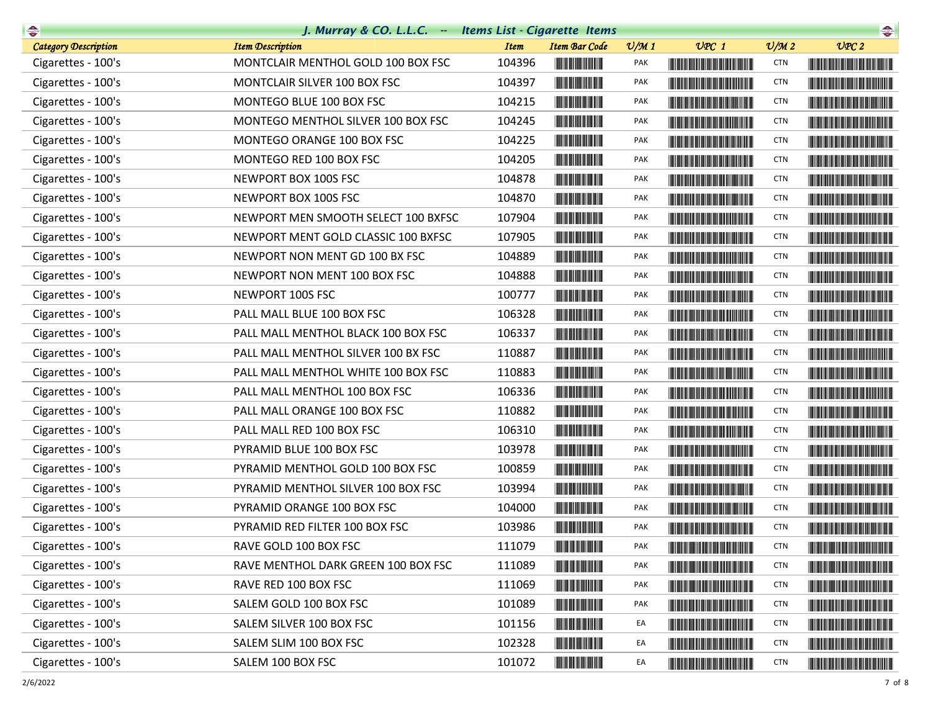| $\begin{picture}(20,10) \put(0,0){\line(1,0){10}} \put(10,0){\line(1,0){10}} \put(10,0){\line(1,0){10}} \put(10,0){\line(1,0){10}} \put(10,0){\line(1,0){10}} \put(10,0){\line(1,0){10}} \put(10,0){\line(1,0){10}} \put(10,0){\line(1,0){10}} \put(10,0){\line(1,0){10}} \put(10,0){\line(1,0){10}} \put(10,0){\line(1,0){10}} \put(10,0){\line(1$ | J. Murray & CO. L.L.C. Items List - Cigarette Items |             |                                                                                                                       |                 |                                                                                                                                                                                                                                      |                             | $\begin{picture}(20,10) \put(0,0){\line(1,0){10}} \put(0,0){\line(1,0){10}} \put(0,0){\line(1,0){10}} \put(0,0){\line(1,0){10}} \put(0,0){\line(1,0){10}} \put(0,0){\line(1,0){10}} \put(0,0){\line(1,0){10}} \put(0,0){\line(1,0){10}} \put(0,0){\line(1,0){10}} \put(0,0){\line(1,0){10}} \put(0,0){\line(1,0){10}} \put(0,0){\line(1,0){10}} \put(0,$ |
|-----------------------------------------------------------------------------------------------------------------------------------------------------------------------------------------------------------------------------------------------------------------------------------------------------------------------------------------------------|-----------------------------------------------------|-------------|-----------------------------------------------------------------------------------------------------------------------|-----------------|--------------------------------------------------------------------------------------------------------------------------------------------------------------------------------------------------------------------------------------|-----------------------------|----------------------------------------------------------------------------------------------------------------------------------------------------------------------------------------------------------------------------------------------------------------------------------------------------------------------------------------------------------|
| <b>Category Description</b>                                                                                                                                                                                                                                                                                                                         | <b>Item Description</b>                             | <b>Item</b> | <b>Item Bar Code</b>                                                                                                  | $\frac{v}{M}$ 1 | $UPC$ 1                                                                                                                                                                                                                              | $\mathcal{O}/\mathcal{M}$ 2 | UPC2                                                                                                                                                                                                                                                                                                                                                     |
| Cigarettes - 100's                                                                                                                                                                                                                                                                                                                                  | MONTCLAIR MENTHOL GOLD 100 BOX FSC                  | 104396      |                                                                                                                       | PAK             | <b>The Community of the Community</b>                                                                                                                                                                                                | <b>CTN</b>                  |                                                                                                                                                                                                                                                                                                                                                          |
| Cigarettes - 100's                                                                                                                                                                                                                                                                                                                                  | MONTCLAIR SILVER 100 BOX FSC                        | 104397      | <u> Herbert Herbert in der Erste </u>                                                                                 | PAK             | <u> Timba ka matsayin ka matsayin ka matsayin ka matsayin ka matsayin ka matsayin ka matsayin ka matsayin ka matsayin ka matsayin ka matsayin ka matsayin ka matsayin ka matsayin ka matsayin ka matsayin ka matsayin ka matsayi</u> | <b>CTN</b>                  |                                                                                                                                                                                                                                                                                                                                                          |
| Cigarettes - 100's                                                                                                                                                                                                                                                                                                                                  | MONTEGO BLUE 100 BOX FSC                            | 104215      | <b>The Committee of the Committee</b>                                                                                 | <b>PAK</b>      |                                                                                                                                                                                                                                      | <b>CTN</b>                  |                                                                                                                                                                                                                                                                                                                                                          |
| Cigarettes - 100's                                                                                                                                                                                                                                                                                                                                  | MONTEGO MENTHOL SILVER 100 BOX FSC                  | 104245      |                                                                                                                       | PAK             |                                                                                                                                                                                                                                      | <b>CTN</b>                  |                                                                                                                                                                                                                                                                                                                                                          |
| Cigarettes - 100's                                                                                                                                                                                                                                                                                                                                  | MONTEGO ORANGE 100 BOX FSC                          | 104225      | <u> Herbert Herbert in der Erste </u>                                                                                 | PAK             | <b>The Committee of the Committee of the Committee</b>                                                                                                                                                                               | <b>CTN</b>                  |                                                                                                                                                                                                                                                                                                                                                          |
| Cigarettes - 100's                                                                                                                                                                                                                                                                                                                                  | MONTEGO RED 100 BOX FSC                             | 104205      |                                                                                                                       | PAK             |                                                                                                                                                                                                                                      | <b>CTN</b>                  |                                                                                                                                                                                                                                                                                                                                                          |
| Cigarettes - 100's                                                                                                                                                                                                                                                                                                                                  | NEWPORT BOX 100S FSC                                | 104878      |                                                                                                                       | <b>PAK</b>      | <u> Harry Harry Harry Harry Harry Harry Harry Harry Harry Harry Harry Harry Harry Harry Harry Harry Harry Harry Harry Harry Harry Harry Harry Harry Harry Harry Harry Harry Harry Harry Harry Harry Harry Harry Harry Harry Harr</u> | <b>CTN</b>                  |                                                                                                                                                                                                                                                                                                                                                          |
| Cigarettes - 100's                                                                                                                                                                                                                                                                                                                                  | NEWPORT BOX 100S FSC                                | 104870      |                                                                                                                       | PAK             |                                                                                                                                                                                                                                      | <b>CTN</b>                  |                                                                                                                                                                                                                                                                                                                                                          |
| Cigarettes - 100's                                                                                                                                                                                                                                                                                                                                  | NEWPORT MEN SMOOTH SELECT 100 BXFSC                 | 107904      |                                                                                                                       | <b>PAK</b>      | <u> Harry Harry Harry Harry Harry Harry Harry Harry Harry Harry Harry Harry Harry Harry Harry Harry Harry Harry Harry Harry Harry Harry Harry Harry Harry Harry Harry Harry Harry Harry Harry Harry Harry Harry Harry Harry Harr</u> | <b>CTN</b>                  |                                                                                                                                                                                                                                                                                                                                                          |
| Cigarettes - 100's                                                                                                                                                                                                                                                                                                                                  | NEWPORT MENT GOLD CLASSIC 100 BXFSC                 | 107905      |                                                                                                                       | PAK             |                                                                                                                                                                                                                                      | <b>CTN</b>                  | <u> The Community of the Community of the Community of the Community of the Community of the Community of the Community of the Community of the Community of the Community of the Community of the Community of the Community of</u>                                                                                                                     |
| Cigarettes - 100's                                                                                                                                                                                                                                                                                                                                  | NEWPORT NON MENT GD 100 BX FSC                      | 104889      |                                                                                                                       | PAK             | <u> Harris Barris de la Barris de la Ba</u>                                                                                                                                                                                          | <b>CTN</b>                  |                                                                                                                                                                                                                                                                                                                                                          |
| Cigarettes - 100's                                                                                                                                                                                                                                                                                                                                  | NEWPORT NON MENT 100 BOX FSC                        | 104888      | <u> Herbert Herbert in der Erste </u>                                                                                 | <b>PAK</b>      | <b>The Community of the Community</b>                                                                                                                                                                                                | <b>CTN</b>                  |                                                                                                                                                                                                                                                                                                                                                          |
| Cigarettes - 100's                                                                                                                                                                                                                                                                                                                                  | NEWPORT 100S FSC                                    | 100777      |                                                                                                                       | PAK             | <b>The Community of the Community</b>                                                                                                                                                                                                | <b>CTN</b>                  |                                                                                                                                                                                                                                                                                                                                                          |
| Cigarettes - 100's                                                                                                                                                                                                                                                                                                                                  | PALL MALL BLUE 100 BOX FSC                          | 106328      |                                                                                                                       | PAK             |                                                                                                                                                                                                                                      | <b>CTN</b>                  |                                                                                                                                                                                                                                                                                                                                                          |
| Cigarettes - 100's                                                                                                                                                                                                                                                                                                                                  | PALL MALL MENTHOL BLACK 100 BOX FSC                 | 106337      |                                                                                                                       | PAK             |                                                                                                                                                                                                                                      | <b>CTN</b>                  |                                                                                                                                                                                                                                                                                                                                                          |
| Cigarettes - 100's                                                                                                                                                                                                                                                                                                                                  | PALL MALL MENTHOL SILVER 100 BX FSC                 | 110887      |                                                                                                                       | PAK             | <b>The Common Section</b>                                                                                                                                                                                                            | <b>CTN</b>                  |                                                                                                                                                                                                                                                                                                                                                          |
| Cigarettes - 100's                                                                                                                                                                                                                                                                                                                                  | PALL MALL MENTHOL WHITE 100 BOX FSC                 | 110883      | <u> Herbert Herbert in der Erste der Erste </u>                                                                       | PAK             |                                                                                                                                                                                                                                      | <b>CTN</b>                  |                                                                                                                                                                                                                                                                                                                                                          |
| Cigarettes - 100's                                                                                                                                                                                                                                                                                                                                  | PALL MALL MENTHOL 100 BOX FSC                       | 106336      | <b>The Common Service</b>                                                                                             | PAK             | <u> Die Berger von Die Berger von Die Berger von Die Berger von Die Berger von Die Berger von Die Berger von Die B</u>                                                                                                               | <b>CTN</b>                  |                                                                                                                                                                                                                                                                                                                                                          |
| Cigarettes - 100's                                                                                                                                                                                                                                                                                                                                  | PALL MALL ORANGE 100 BOX FSC                        | 110882      |                                                                                                                       | PAK             |                                                                                                                                                                                                                                      | <b>CTN</b>                  |                                                                                                                                                                                                                                                                                                                                                          |
| Cigarettes - 100's                                                                                                                                                                                                                                                                                                                                  | PALL MALL RED 100 BOX FSC                           | 106310      |                                                                                                                       | PAK             |                                                                                                                                                                                                                                      | <b>CTN</b>                  |                                                                                                                                                                                                                                                                                                                                                          |
| Cigarettes - 100's                                                                                                                                                                                                                                                                                                                                  | PYRAMID BLUE 100 BOX FSC                            | 103978      | <u> Indian American Indian Indian Indian Indian Indian Indian Indian Indian Indian Indian Indian Indian Indian In</u> | <b>PAK</b>      |                                                                                                                                                                                                                                      | <b>CTN</b>                  |                                                                                                                                                                                                                                                                                                                                                          |
| Cigarettes - 100's                                                                                                                                                                                                                                                                                                                                  | PYRAMID MENTHOL GOLD 100 BOX FSC                    | 100859      | <u> Herbert Herbert in der Erste der Erste der Erste der Erste der Erste der Erste der Erste der Erste der Erste </u> | PAK             | <u> Harry Harry Harry Harry Harry Harry Harry Harry Harry Harry Harry Harry Harry Harry Harry Harry Harry Harry H</u>                                                                                                                | <b>CTN</b>                  |                                                                                                                                                                                                                                                                                                                                                          |
| Cigarettes - 100's                                                                                                                                                                                                                                                                                                                                  | PYRAMID MENTHOL SILVER 100 BOX FSC                  | 103994      | <u> Herbert Herbert in der Entschaft</u>                                                                              | PAK             |                                                                                                                                                                                                                                      | <b>CTN</b>                  | <u> Harat Barat Barat Barat Barat Barat Barat Barat Barat Barat Barat Barat Barat Barat Barat Barat Barat Barat Ba</u>                                                                                                                                                                                                                                   |
| Cigarettes - 100's                                                                                                                                                                                                                                                                                                                                  | PYRAMID ORANGE 100 BOX FSC                          | 104000      | <u> Herbert Herbert i Sta</u>                                                                                         | PAK             |                                                                                                                                                                                                                                      | <b>CTN</b>                  |                                                                                                                                                                                                                                                                                                                                                          |
| Cigarettes - 100's                                                                                                                                                                                                                                                                                                                                  | PYRAMID RED FILTER 100 BOX FSC                      | 103986      |                                                                                                                       | PAK             |                                                                                                                                                                                                                                      | <b>CTN</b>                  |                                                                                                                                                                                                                                                                                                                                                          |
| Cigarettes - 100's                                                                                                                                                                                                                                                                                                                                  | RAVE GOLD 100 BOX FSC                               | 111079      | <u> Hill in de Berlin in de B</u>                                                                                     | PAK             | <u> Handels Handels Handels Hand</u>                                                                                                                                                                                                 | <b>CTN</b>                  |                                                                                                                                                                                                                                                                                                                                                          |
| Cigarettes - 100's                                                                                                                                                                                                                                                                                                                                  | RAVE MENTHOL DARK GREEN 100 BOX FSC                 | 111089      |                                                                                                                       | PAK             |                                                                                                                                                                                                                                      | <b>CTN</b>                  | <u> The Community of the Community of the Community of the Community of the Community of the Community of the Community of the Community of the Community of the Community of the Community of the Community of the Community of</u>                                                                                                                     |
| Cigarettes - 100's                                                                                                                                                                                                                                                                                                                                  | RAVE RED 100 BOX FSC                                | 111069      |                                                                                                                       | PAK             |                                                                                                                                                                                                                                      | <b>CTN</b>                  |                                                                                                                                                                                                                                                                                                                                                          |
| Cigarettes - 100's                                                                                                                                                                                                                                                                                                                                  | SALEM GOLD 100 BOX FSC                              | 101089      | <u> III din ka masa sa ka</u>                                                                                         | PAK             | <u> The Community of the Community of the Community of the Community of the Community of the Community of the Community of the Community of the Community of the Community of the Community of the Community of the Community of</u> | <b>CTN</b>                  | <u> Harry Harry Harry Harry Harry Harry Harry Harry Harry Harry Harry Harry Harry Harry Harry Harry Harry Harry H</u>                                                                                                                                                                                                                                    |
| Cigarettes - 100's                                                                                                                                                                                                                                                                                                                                  | SALEM SILVER 100 BOX FSC                            | 101156      |                                                                                                                       | EA              | <u> The Community of the Community of the Community of the Community of the Community of the Community of the Co</u>                                                                                                                 | <b>CTN</b>                  |                                                                                                                                                                                                                                                                                                                                                          |
| Cigarettes - 100's                                                                                                                                                                                                                                                                                                                                  | SALEM SLIM 100 BOX FSC                              | 102328      |                                                                                                                       | EA              |                                                                                                                                                                                                                                      | <b>CTN</b>                  | <u> The Community of the Community of the Community of the Community of the Community of the Community of the Community of the Community of the Community of the Community of the Community of the Community of the Community of</u>                                                                                                                     |
| Cigarettes - 100's                                                                                                                                                                                                                                                                                                                                  | SALEM 100 BOX FSC                                   | 101072      | <u> III de la provincia de la provincia de la provincia de la provincia de la provincia de la provincia de la pro</u> | EA              | <b>Contract Contract Contract Contract Contract Contract Contract Contract Contract Contract Contract Contract Co</b>                                                                                                                | <b>CTN</b>                  | <b>The Community of Community</b>                                                                                                                                                                                                                                                                                                                        |